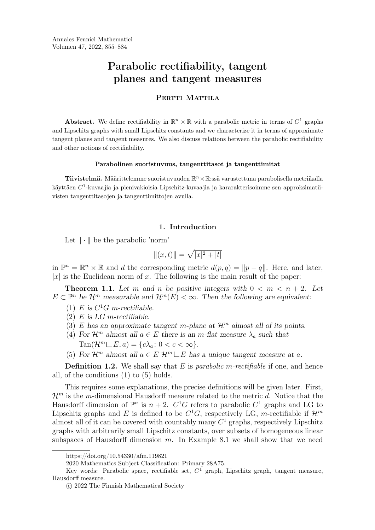# Parabolic rectifiability, tangent planes and tangent measures

# PERTTI MATTILA

Abstract. We define rectifiability in  $\mathbb{R}^n \times \mathbb{R}$  with a parabolic metric in terms of  $C^1$  graphs and Lipschitz graphs with small Lipschitz constants and we characterize it in terms of approximate tangent planes and tangent measures. We also discuss relations between the parabolic rectifiability and other notions of rectifiability.

# Parabolinen suoristuvuus, tangenttitasot ja tangenttimitat

**Tiivistelmä.** Määrittelemme suoristuvuuden  $\mathbb{R}^n \times \mathbb{R}$ :ssä varustettuna parabolisella metriikalla käyttäen  $C^1$ -kuvaajia ja pienivakioisia Lipschitz-kuvaajia ja kararakterisoimme sen approksimatiivist[e](#page-0-0)[n](#page-0-1) [t](#page-0-3)angenttitasojen ja tangenttimittojen avulla.

# 1. Introduction

Let  $\|\cdot\|$  be the parabolic 'norm'

$$
\|(x,t)\| = \sqrt{|x|^2 + |t|}
$$

in  $\mathbb{P}^n = \mathbb{R}^n \times \mathbb{R}$  and d the corresponding metric  $d(p, q) = ||p - q||$ . Here, and later,  $|x|$  is the Euclidean norm of x. The following is the main result of the paper:

<span id="page-0-4"></span>**Theorem 1.1.** Let m and n be positive integers with  $0 < m < n + 2$ . Let  $E \subset \mathbb{P}^n$  be  $\mathcal{H}^m$  measurable and  $\mathcal{H}^m(E) < \infty$ . Then the following are equivalent:

- (1) E is  $C^1G$  m-rectifiable.
- $(2)$  E is LG m-rectifiable.
- (3) E has an approximate tangent m-plane at  $\mathcal{H}^m$  almost all of its points.
- (4) For  $\mathcal{H}^m$  almost all  $a \in E$  there is an m-flat measure  $\lambda_a$  such that  $\text{Tan}(\mathcal{H}^m \sqcup E, a) = \{c\lambda_a : 0 < c < \infty\}.$
- (5) For  $\mathcal{H}^m$  almost all  $a \in E$   $\mathcal{H}^m \_E$  has a unique tangent measure at a.

**Definition 1.2.** We shall say that  $E$  is *parabolic m-rectifiable* if one, and hence all, of the conditions (1) to (5) holds.

This requires some explanations, the precise definitions will be given later. First,  $\mathcal{H}^m$  is the m-dimensional Hausdorff measure related to the metric d. Notice that the Hausdorff dimension of  $\mathbb{P}^n$  is  $n+2$ .  $C^1G$  refers to parabolic  $C^1$  graphs and LG to Lipschitz graphs and E is defined to be  $C^1G$ , respectively LG, m-rectifiable if  $\mathcal{H}^m$ almost all of it can be covered with countably many  $C^1$  graphs, respectively Lipschitz graphs with arbitrarily small Lipschitz constants, over subsets of homogeneous linear subspaces of Hausdorff dimension  $m$ . In Example [8.1](#page-20-0) we shall show that we need

https://doi.org/10.54330/afm.119821

<span id="page-0-0"></span><sup>2020</sup> Mathematics Subject Classification: Primary 28A75.

<span id="page-0-1"></span>Key words: Parabolic space, rectifiable set,  $C^1$  graph, Lipschitz graph, tangent measure, Hausdorff measure.

<span id="page-0-3"></span><span id="page-0-2"></span>c 2022 The Finnish Mathematical Society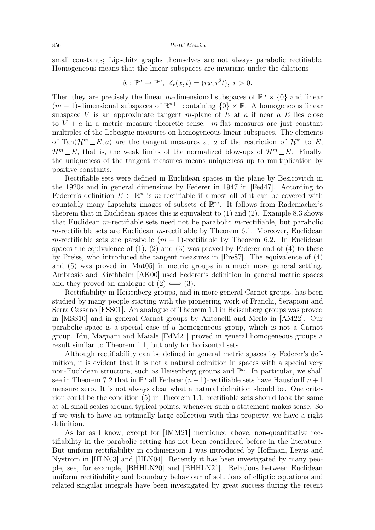small constants; Lipschitz graphs themselves are not always parabolic rectifiable. Homogeneous means that the linear subspaces are invariant under the dilations

$$
\delta_r\colon\mathbb{P}^n\to\mathbb{P}^n,\ \ \delta_r(x,t)=(rx,r^2t),\ r>0.
$$

Then they are precisely the linear m-dimensional subspaces of  $\mathbb{R}^n \times \{0\}$  and linear  $(m-1)$ -dimensional subspaces of  $\mathbb{R}^{n+1}$  containing  $\{0\} \times \mathbb{R}$ . A homogeneous linear subspace V is an approximate tangent m-plane of E at a if near  $a E$  lies close to  $V + a$  in a metric measure-theoretic sense. m-flat measures are just constant multiples of the Lebesgue measures on homogeneous linear subspaces. The elements of Tan( $\mathcal{H}^m \_E, a$ ) are the tangent measures at a of the restriction of  $\mathcal{H}^m$  to E,  $\mathcal{H}^m \square E$ , that is, the weak limits of the normalized blow-ups of  $\mathcal{H}^m \square E$ . Finally, the uniqueness of the tangent measures means uniqueness up to multiplication by positive constants.

Rectifiable sets were defined in Euclidean spaces in the plane by Besicovitch in the 1920s and in general dimensions by Federer in 1947 in [\[Fed47\]](#page-28-0). According to Federer's definition  $E \subset \mathbb{R}^n$  is m-rectifiable if almost all of it can be covered with countably many Lipschitz images of subsets of  $\mathbb{R}^m$ . It follows from Rademacher's theorem that in Euclidean spaces this is equivalent to (1) and (2). Example [8.3](#page-25-0) shows that Euclidean  $m$ -rectifiable sets need not be parabolic  $m$ -rectifiable, but parabolic m-rectifiable sets are Euclidean m-rectifiable by Theorem  $6.1$ . Moreover, Euclidean m-rectifiable sets are parabolic  $(m + 1)$ -rectifiable by Theorem [6.2.](#page-16-1) In Euclidean spaces the equivalence of  $(1)$ ,  $(2)$  and  $(3)$  was proved by Federer and of  $(4)$  to these by Preiss, who introduced the tangent measures in [\[Pre87\]](#page-29-0). The equivalence of (4) and (5) was proved in [\[Mat05\]](#page-28-1) in metric groups in a much more general setting. Ambrosio and Kirchheim [\[AK00\]](#page-27-0) used Federer's definition in general metric spaces and they proved an analogue of  $(2) \iff (3)$ .

Rectifiability in Heisenberg groups, and in more general Carnot groups, has been studied by many people starting with the pioneering work of Franchi, Serapioni and Serra Cassano [\[FSS01\]](#page-28-2). An analogue of Theorem [1.1](#page-0-4) in Heisenberg groups was proved in [\[MSS10\]](#page-28-3) and in general Carnot groups by Antonelli and Merlo in [\[AM22\]](#page-27-1). Our parabolic space is a special case of a homogeneous group, which is not a Carnot group. Idu, Magnani and Maiale [\[IMM21\]](#page-28-4) proved in general homogeneous groups a result similar to Theorem [1.1,](#page-0-4) but only for horizontal sets.

Although rectifiability can be defined in general metric spaces by Federer's definition, it is evident that it is not a natural definition in spaces with a special very non-Euclidean structure, such as Heisenberg groups and  $\mathbb{P}^n$ . In particular, we shall see in Theorem [7.2](#page-19-0) that in  $\mathbb{P}^n$  all Federer  $(n+1)$ -rectifiable sets have Hausdorff  $n+1$ measure zero. It is not always clear what a natural definition should be. One criterion could be the condition (5) in Theorem [1.1:](#page-0-4) rectifiable sets should look the same at all small scales around typical points, whenever such a statement makes sense. So if we wish to have an optimally large collection with this property, we have a right definition.

As far as I know, except for [\[IMM21\]](#page-28-4) mentioned above, non-quantitative rectifiability in the parabolic setting has not been considered before in the literature. But uniform rectifiability in codimension 1 was introduced by Hoffman, Lewis and Nyström in [\[HLN03\]](#page-28-5) and [\[HLN04\]](#page-28-6). Recently it has been investigated by many people, see, for example, [\[BHHLN20\]](#page-28-7) and [\[BHHLN21\]](#page-28-8). Relations between Euclidean uniform rectifiability and boundary behaviour of solutions of elliptic equations and related singular integrals have been investigated by great success during the recent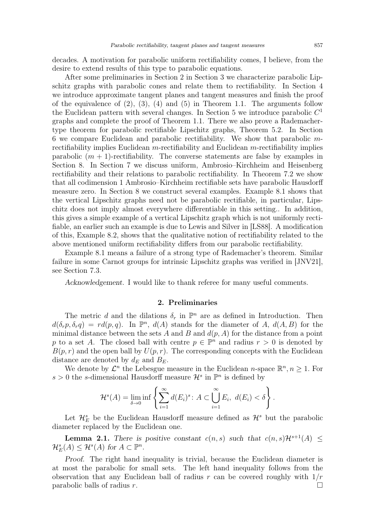decades. A motivation for parabolic uniform rectifiability comes, I believe, from the desire to extend results of this type to parabolic equations.

After some preliminaries in Section [2](#page-2-0) in Section [3](#page-4-0) we characterize parabolic Lipschitz graphs with parabolic cones and relate them to rectifiability. In Section [4](#page-8-0) we introduce approximate tangent planes and tangent measures and finish the proof of the equivalence of  $(2)$ ,  $(3)$ ,  $(4)$  and  $(5)$  in Theorem [1.1.](#page-0-4) The arguments follow the Euclidean pattern with several changes. In Section [5](#page-12-0) we introduce parabolic  $C<sup>1</sup>$ graphs and complete the proof of Theorem [1.1.](#page-0-4) There we also prove a Rademachertype theorem for parabolic rectifiable Lipschitz graphs, Theorem [5.2.](#page-13-0) In Section [6](#page-15-0) we compare Euclidean and parabolic rectifiability. We show that parabolic mrectifiability implies Euclidean m-rectifiability and Euclidean m-rectifiability implies parabolic  $(m + 1)$ -rectifiability. The converse statements are false by examples in Section [8.](#page-20-1) In Section [7](#page-18-0) we discuss uniform, Ambrosio–Kirchheim and Heisenberg rectifiability and their relations to parabolic rectifiability. In Theorem [7.2](#page-19-0) we show that all codimension 1 Ambrosio–Kirchheim rectifiable sets have parabolic Hausdorff measure zero. In Section [8](#page-20-1) we construct several examples. Example [8.1](#page-20-0) shows that the vertical Lipschitz graphs need not be parabolic rectifiable, in particular, Lipschitz does not imply almost everywhere differentiable in this setting.. In addition, this gives a simple example of a vertical Lipschitz graph which is not uniformly rectifiable, an earlier such an example is due to Lewis and Silver in [\[LS88\]](#page-28-9). A modification of this, Example [8.2,](#page-21-0) shows that the qualitative notion of rectifiability related to the above mentioned uniform rectifiability differs from our parabolic rectifiability.

Example [8.1](#page-20-0) means a failure of a strong type of Rademacher's theorem. Similar failure in some Carnot groups for intrinsic Lipschitz graphs was verified in [\[JNV21\]](#page-28-10), see Section 7.3.

<span id="page-2-0"></span>Acknowledgement. I would like to thank referee for many useful comments.

# 2. Preliminaries

The metric d and the dilations  $\delta_r$  in  $\mathbb{P}^n$  are as defined in Introduction. Then  $d(\delta_r p, \delta_r q) = r d(p, q)$ . In  $\mathbb{P}^n$ ,  $d(A)$  stands for the diameter of A,  $d(A, B)$  for the minimal distance between the sets A and B and  $d(p, A)$  for the distance from a point p to a set A. The closed ball with centre  $p \in \mathbb{P}^n$  and radius  $r > 0$  is denoted by  $B(p, r)$  and the open ball by  $U(p, r)$ . The corresponding concepts with the Euclidean distance are denoted by  $d_E$  and  $B_E$ .

We denote by  $\mathcal{L}^n$  the Lebesgue measure in the Euclidean *n*-space  $\mathbb{R}^n, n \geq 1$ . For  $s > 0$  the s-dimensional Hausdorff measure  $\mathcal{H}^s$  in  $\mathbb{P}^n$  is defined by

$$
\mathcal{H}^s(A) = \lim_{\delta \to 0} \inf \left\{ \sum_{i=1}^{\infty} d(E_i)^s : A \subset \bigcup_{i=1}^{\infty} E_i, \ d(E_i) < \delta \right\}.
$$

Let  $\mathcal{H}_E^s$  be the Euclidean Hausdorff measure defined as  $\mathcal{H}^s$  but the parabolic diameter replaced by the Euclidean one.

<span id="page-2-1"></span>**Lemma 2.1.** There is positive constant  $c(n, s)$  such that  $c(n, s)H^{s+1}(A)$  $\mathcal{H}_E^s(A) \leq \mathcal{H}^s(A)$  for  $A \subset \mathbb{P}^n$ .

Proof. The right hand inequality is trivial, because the Euclidean diameter is at most the parabolic for small sets. The left hand inequality follows from the observation that any Euclidean ball of radius r can be covered roughly with  $1/r$ parabolic balls of radius r.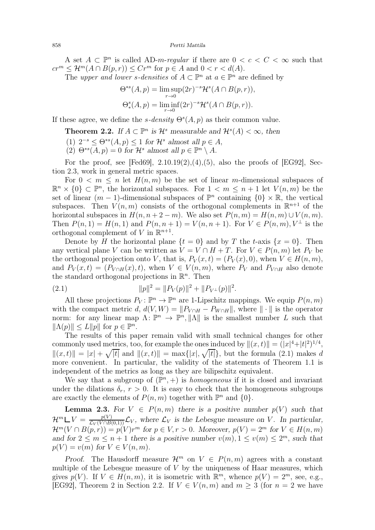A set  $A \subset \mathbb{P}^n$  is called AD-m-regular if there are  $0 < c < C < \infty$  such that  $cr^m \leq \mathcal{H}^m(A \cap B(p,r)) \leq Cr^m$  for  $p \in A$  and  $0 < r < d(A)$ .

The *upper and lower s-densities* of  $A \subset \mathbb{P}^n$  at  $a \in \mathbb{P}^n$  are defined by

$$
\Theta^{*s}(A, p) = \limsup_{r \to 0} (2r)^{-s} \mathcal{H}^s(A \cap B(p, r)),
$$
  

$$
\Theta^s_*(A, p) = \liminf_{r \to 0} (2r)^{-s} \mathcal{H}^s(A \cap B(p, r)).
$$

<span id="page-3-1"></span>If these agree, we define the s-density  $\Theta^{s}(A, p)$  as their common value.

**Theorem 2.2.** If  $A \subset \mathbb{P}^n$  is  $\mathcal{H}^s$  measurable and  $\mathcal{H}^s(A) < \infty$ , then

- (1)  $2^{-s} \leq \Theta^{*s}(A, p) \leq 1$  for  $\mathcal{H}^s$  almost all  $p \in A$ ,
- (2)  $\Theta^{*s}(A, p) = 0$  for  $\mathcal{H}^s$  almost all  $p \in \mathbb{P}^n \setminus A$ .

For the proof, see [\[Fed69\]](#page-28-11),  $2.10.19(2)$ , (4), (5), also the proofs of [\[EG92\]](#page-28-12), Section 2.3, work in general metric spaces.

For  $0 \leq m \leq n$  let  $H(n, m)$  be the set of linear m-dimensional subspaces of  $\mathbb{R}^n \times \{0\} \subset \mathbb{P}^n$ , the horizontal subspaces. For  $1 < m \leq n + 1$  let  $V(n,m)$  be the set of linear  $(m-1)$ -dimensional subspaces of  $\mathbb{P}^n$  containing  $\{0\} \times \mathbb{R}$ , the vertical subspaces. Then  $V(n,m)$  consists of the orthogonal complements in  $\mathbb{R}^{n+1}$  of the horizontal subspaces in  $H(n, n+2-m)$ . We also set  $P(n, m) = H(n, m) \cup V(n, m)$ . Then  $P(n, 1) = H(n, 1)$  and  $P(n, n + 1) = V(n, n + 1)$ . For  $V \in P(n, m)$ ,  $V^{\perp}$  is the orthogonal complement of V in  $\mathbb{R}^{n+1}$ .

Denote by H the horizontal plane  $\{t = 0\}$  and by T the t-axis  $\{x = 0\}$ . Then any vertical plane V can be written as  $V = V \cap H + T$ . For  $V \in P(n, m)$  let  $P_V$  be the orthogonal projection onto V, that is,  $P_V(x,t) = (P_V(x), 0)$ , when  $V \in H(n, m)$ , and  $P_V(x,t) = (P_{V \cap H}(x), t)$ , when  $V \in V(n,m)$ , where  $P_V$  and  $P_{V \cap H}$  also denote the standard orthogonal projections in  $\mathbb{R}^n$ . Then

<span id="page-3-0"></span>(2.1) 
$$
||p||^2 = ||P_V(p)||^2 + ||P_{V^{\perp}}(p)||^2.
$$

All these projections  $P_V: \mathbb{P}^n \to \mathbb{P}^n$  are 1-Lipschitz mappings. We equip  $P(n, m)$ with the compact metric d,  $d(V, W) = ||P_{V \cap H} - P_{W \cap H}||$ , where  $|| \cdot ||$  is the operator norm: for any linear map  $\Lambda: \mathbb{P}^n \to \mathbb{P}^n, ||\Lambda||$  is the smallest number L such that  $\|\Lambda(p)\| \le L \|p\|$  for  $p \in \mathbb{P}^n$ .

The results of this paper remain valid with small technical changes for other commonly used metrics, too, for example the ones induced by  $||(x,t)|| = (|x|^4 + |t|^2)^{1/4}$ ,  $||(x, t)|| = |x| + \sqrt{|t|}$  and  $||(x, t)|| = \max\{|x|, \sqrt{|t|}\}\$ , but the formula [\(2.1\)](#page-3-0) makes d more convenient. In particular, the validity of the statements of Theorem [1.1](#page-0-4) is independent of the metrics as long as they are bilipschitz equivalent.

We say that a subgroup of  $(\mathbb{P}^n, +)$  is *homogeneous* if it is closed and invariant under the dilations  $\delta_r$ ,  $r > 0$ . It is easy to check that the homogeneous subgroups are exactly the elements of  $P(n, m)$  together with  $\mathbb{P}^n$  and  $\{0\}$ .

<span id="page-3-2"></span>**Lemma 2.3.** For  $V \in P(n,m)$  there is a positive number  $p(V)$  such that  $\mathcal{H}^m \perp V = \frac{p(V)}{\mathcal{L}_V(V \cap B(0,1))} \mathcal{L}_V$ , where  $\mathcal{L}_V$  is the Lebesgue measure on V. In particular,  $\mathcal{H}^m(V \cap B(p,r)) = p(V)r^m$  for  $p \in V, r > 0$ . Moreover,  $p(V) = 2^m$  for  $V \in H(n,m)$ and for  $2 \leq m \leq n+1$  there is a positive number  $v(m)$ ,  $1 \leq v(m) \leq 2^m$ , such that  $p(V) = v(m)$  for  $V \in V(n, m)$ .

Proof. The Hausdorff measure  $\mathcal{H}^m$  on  $V \in P(n,m)$  agrees with a constant multiple of the Lebesgue measure of  $V$  by the uniqueness of Haar measures, which gives  $p(V)$ . If  $V \in H(n, m)$ , it is isometric with  $\mathbb{R}^m$ , whence  $p(V) = 2^m$ , see, e.g., [\[EG92\]](#page-28-12), Theorem 2 in Section 2.2. If  $V \in V(n,m)$  and  $m \geq 3$  (for  $n = 2$  we have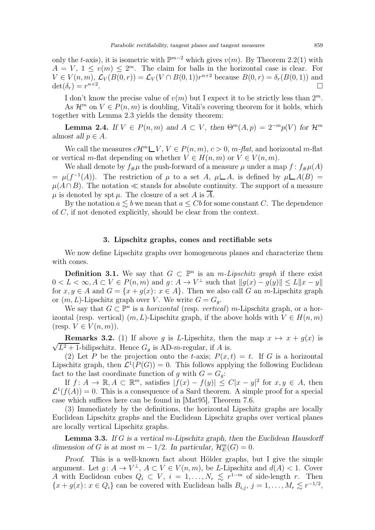only the t-axis), it is isometric with  $\mathbb{P}^{m-2}$  which gives  $v(m)$ . By Theorem [2.2\(](#page-3-1)1) with  $A = V, 1 \le v(m) \le 2^m$ . The claim for balls in the horizontal case is clear. For  $V \in V(n,m), \mathcal{L}_V(B(0,r)) = \mathcal{L}_V(V \cap B(0,1))r^{n+2}$  because  $B(0,r) = \delta_r(B(0,1))$  and  $\det(\delta_r) = r^{n+2}$ .

I don't know the precise value of  $v(m)$  but I expect it to be strictly less than  $2^m$ . As  $\mathcal{H}^m$  on  $V \in P(n,m)$  is doubling, Vitali's covering theorem for it holds, which together with Lemma [2.3](#page-3-2) yields the density theorem:

<span id="page-4-2"></span>**Lemma 2.4.** If  $V \in P(n,m)$  and  $A \subset V$ , then  $\Theta^m(A, p) = 2^{-m}p(V)$  for  $\mathcal{H}^m$ almost all  $p \in A$ .

We call the measures  $cH^m\Box V$ ,  $V\in P(n,m)$ ,  $c>0$ ,  $m$ -flat, and horizontal m-flat or vertical m-flat depending on whether  $V \in H(n,m)$  or  $V \in V(n,m)$ .

We shall denote by  $f_{\#}\mu$  the push-forward of a measure  $\mu$  under a map  $f: f_{\#}\mu(A)$  $= \mu(f^{-1}(A))$ . The restriction of  $\mu$  to a set A,  $\mu\Box A$ , is defined by  $\mu\Box A(B) =$  $\mu(A \cap B)$ . The notation  $\ll$  stands for absolute continuity. The support of a measure  $\mu$  is denoted by spt  $\mu$ . The closure of a set A is  $\overline{A}$ .

By the notation  $a \leq b$  we mean that  $a \leq Cb$  for some constant C. The dependence of C, if not denoted explicitly, should be clear from the context.

# 3. Lipschitz graphs, cones and rectifiable sets

<span id="page-4-0"></span>We now define Lipschitz graphs over homogeneous planes and characterize them with cones.

<span id="page-4-4"></span>**Definition 3.1.** We say that  $G \subset \mathbb{P}^n$  is an *m-Lipschitz graph* if there exist  $0 < L < \infty, A \subset V \in P(n,m)$  and  $g: A \to V^{\perp}$  such that  $||g(x) - g(y)|| \leq L||x - y||$ for  $x, y \in A$  and  $G = \{x + g(x) : x \in A\}$ . Then we also call G an m-Lipschitz graph or  $(m, L)$ -Lipschitz graph over V. We write  $G = G_q$ .

We say that  $G \subset \mathbb{P}^n$  is a *horizontal* (resp. *vertical*) m-Lipschitz graph, or a horizontal (resp. vertical)  $(m, L)$ -Lipschitz graph, if the above holds with  $V \in H(n, m)$ (resp.  $V \in V(n, m)$ ).

<span id="page-4-3"></span> $\sqrt{L^2+1}$ -bilipschitz. Hence  $G_g$  is AD-m-regular, if A is. **Remarks 3.2.** (1) If above g is L-Lipschitz, then the map  $x \mapsto x + g(x)$  is

(2) Let P be the projection onto the t-axis;  $P(x,t) = t$ . If G is a horizontal Lipschitz graph, then  $\mathcal{L}^1(P(G)) = 0$ . This follows applying the following Euclidean fact to the last coordinate function of g with  $G = G_g$ :

If  $f: A \to \mathbb{R}, A \subset \mathbb{R}^m$ , satisfies  $|\tilde{f}(x) - f(y)| \leq C|x - y|^2$  for  $x, y \in A$ , then  $\mathcal{L}^1(f(A)) = 0$ . This is a consequence of a Sard theorem. A simple proof for a special case which suffices here can be found in [\[Mat95\]](#page-28-13), Theorem 7.6.

(3) Immediately by the definitions, the horizontal Lipschitz graphs are locally Euclidean Lipschitz graphs and the Euclidean Lipschitz graphs over vertical planes are locally vertical Lipschitz graphs.

<span id="page-4-1"></span>**Lemma 3.3.** If G is a vertical m-Lipschitz graph, then the Euclidean Hausdorff dimension of G is at most  $m - 1/2$ . In particular,  $\mathcal{H}_E^m(G) = 0$ .

Proof. This is a well-known fact about Hölder graphs, but I give the simple argument. Let  $g: A \to V^{\perp}$ ,  $A \subset V \in V(n,m)$ , be L-Lipschitz and  $d(A) < 1$ . Cover A with Euclidean cubes  $Q_i \subset V$ ,  $i = 1, \ldots, N_r \leq r^{1-m}$  of side-length r. Then  ${x + g(x): x \in Q_i}$  can be covered with Euclidean balls  $B_{i,j}, j = 1, ..., M_r \leq r^{-1/2}$ ,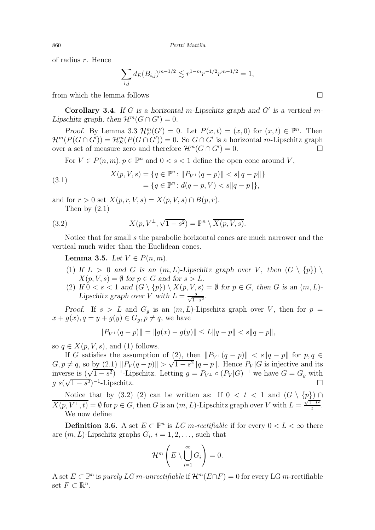of radius r. Hence

$$
\sum_{i,j} d_E(B_{i,j})^{m-1/2} \lesssim r^{1-m} r^{-1/2} r^{m-1/2} = 1,
$$

from which the lemma follows  $\square$ 

<span id="page-5-2"></span>**Corollary 3.4.** If G is a horizontal m-Lipschitz graph and  $G'$  is a vertical m-Lipschitz graph, then  $\mathcal{H}^m(G \cap G') = 0$ .

Proof. By Lemma [3.3](#page-4-1)  $\mathcal{H}_E^m(G') = 0$ . Let  $P(x,t) = (x,0)$  for  $(x,t) \in \mathbb{P}^n$ . Then  $\mathcal{H}^m(P(G \cap G')) = \mathcal{H}_E^m(P(G \cap G')) = 0.$  So  $G \cap G'$  is a horizontal m-Lipschitz graph over a set of measure zero and therefore  $\mathcal{H}^m(G \cap G') = 0$ .

For  $V \in P(n,m)$ ,  $p \in \mathbb{P}^n$  and  $0 < s < 1$  define the open cone around V,

(3.1) 
$$
X(p, V, s) = \{q \in \mathbb{P}^n : ||P_{V^{\perp}}(q-p)|| < s||q-p||\}
$$

$$
= \{q \in \mathbb{P}^n : d(q-p, V) < s||q-p||\},\
$$

and for  $r > 0$  set  $X(p, r, V, s) = X(p, V, s) \cap B(p, r)$ .

<span id="page-5-0"></span>Then by [\(2.1\)](#page-3-0)

(3.2) 
$$
X(p, V^{\perp}, \sqrt{1-s^2}) = \mathbb{P}^n \setminus \overline{X(p, V, s)}.
$$

Notice that for small s the parabolic horizontal cones are much narrower and the vertical much wider than the Euclidean cones.

<span id="page-5-1"></span>Lemma 3.5. Let  $V \in P(n, m)$ .

- (1) If  $L > 0$  and G is an  $(m, L)$ -Lipschitz graph over V, then  $(G \setminus \{p\})$  $X(p, V, s) = \emptyset$  for  $p \in G$  and for  $s > L$ .
- (2) If  $0 < s < 1$  and  $(G \setminus \{p\}) \setminus X(p, V, s) = \emptyset$  for  $p \in G$ , then G is an  $(m, L)$ -Lipschitz graph over V with  $L = \frac{s}{\sqrt{1-s^2}}$ .

Proof. If  $s > L$  and  $G_g$  is an  $(m, L)$ -Lipschitz graph over V, then for  $p =$  $x + g(x), q = y + g(y) \in G_q, p \neq q$ , we have

$$
||P_{V^{\perp}}(q-p)|| = ||g(x) - g(y)|| \le L||q - p|| < s||q - p||,
$$

so  $q \in X(p, V, s)$ , and (1) follows.

If G satisfies the assumption of (2), then  $||P_{V^{\perp}}(q-p)|| < s||q-p||$  for  $p, q \in$  $G, p \neq q$ , so by [\(2.1\)](#page-3-0)  $||P_V(q-p)|| > \sqrt{1-s^2}||q-p||$ . Hence  $P_V|G$  is injective and its inverse is  $(\sqrt{1-s^2})^{-1}$ -Lipschitz. Letting  $g = P_{V^{\perp}} \circ (P_V | G)^{-1}$  we have  $G = G_g$  with  $g s(\sqrt{1-s^2})^{-1}$ -Lipschitz.

Notice that by [\(3.2\)](#page-5-0) (2) can be written as: If  $0 < t < 1$  and  $(G \setminus \{p\}) \cap$  $\overline{X(p, V^{\perp}, t)} = \emptyset$  for  $p \in G$ , then G is an  $(m, L)$ -Lipschitz graph over V with  $L = \frac{\sqrt{1-t^2}}{t}$  $\frac{-t^2}{t}$ . We now define

**Definition 3.6.** A set  $E \subset \mathbb{P}^n$  is  $LG$  m-rectifiable if for every  $0 < L < \infty$  there are  $(m, L)$ -Lipschitz graphs  $G_i$ ,  $i = 1, 2, \ldots$ , such that

$$
\mathcal{H}^m\left(E\setminus\bigcup_{i=1}^{\infty}G_i\right)=0.
$$

A set  $E \subset \mathbb{P}^n$  is purely  $LG$  m-unrectifiable if  $\mathcal{H}^m(E \cap F) = 0$  for every LG m-rectifiable set  $F \subset \mathbb{R}^n$ .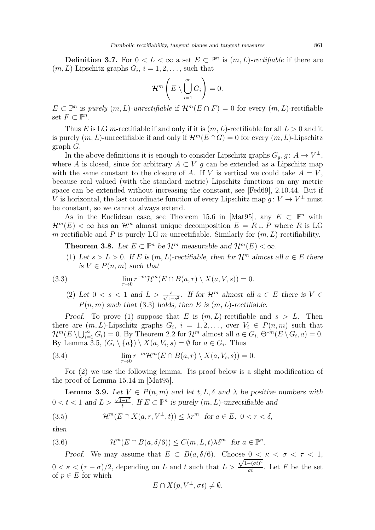**Definition 3.7.** For  $0 < L < \infty$  a set  $E \subset \mathbb{P}^n$  is  $(m, L)$ -rectifiable if there are  $(m, L)$ -Lipschitz graphs  $G_i$ ,  $i = 1, 2, \ldots$ , such that

$$
\mathcal{H}^m\left(E\setminus\bigcup_{i=1}^{\infty}G_i\right)=0.
$$

 $E \subset \mathbb{P}^n$  is purely  $(m, L)$ -unrectifiable if  $\mathcal{H}^m(E \cap F) = 0$  for every  $(m, L)$ -rectifiable set  $F \subset \mathbb{P}^n$ .

Thus E is LG m-rectifiable if and only if it is  $(m, L)$ -rectifiable for all  $L > 0$  and it is purely  $(m, L)$ -unrectifiable if and only if  $\mathcal{H}^m(E \cap G) = 0$  for every  $(m, L)$ -Lipschitz graph G.

In the above definitions it is enough to consider Lipschitz graphs  $G_g$ ,  $g: A \to V^{\perp}$ , where A is closed, since for arbitrary  $A \subset V$  g can be extended as a Lipschitz map with the same constant to the closure of A. If V is vertical we could take  $A = V$ , because real valued (with the standard metric) Lipschitz functions on any metric space can be extended without increasing the constant, see [\[Fed69\]](#page-28-11), 2.10.44. But if V is horizontal, the last coordinate function of every Lipschitz map  $g: V \to V^{\perp}$  must be constant, so we cannot always extend.

As in the Euclidean case, see Theorem 15.6 in [\[Mat95\]](#page-28-13), any  $E \subset \mathbb{P}^n$  with  $\mathcal{H}^m(E) < \infty$  has an  $\mathcal{H}^m$  almost unique decomposition  $E = R \cup P$  where R is LG m-rectifiable and P is purely LG m-unrectifiable. Similarly for  $(m, L)$ -rectifiability.

<span id="page-6-2"></span>**Theorem 3.8.** Let  $E \subset \mathbb{P}^n$  be  $\mathcal{H}^m$  measurable and  $\mathcal{H}^m(E) < \infty$ .

(1) Let  $s > L > 0$ . If E is  $(m, L)$ -rectifiable, then for  $\mathcal{H}^m$  almost all  $a \in E$  there is  $V \in P(n, m)$  such that

(3.3) 
$$
\lim_{r \to 0} r^{-m} \mathcal{H}^m(E \cap B(a, r) \setminus X(a, V, s)) = 0.
$$

<span id="page-6-0"></span>(2) Let  $0 < s < 1$  and  $L > \frac{s}{\sqrt{1-s^2}}$ . If for  $\mathcal{H}^m$  almost all  $a \in E$  there is  $V \in \mathbb{R}$ .  $P(n, m)$  such that [\(3.3\)](#page-6-0) holds, then E is  $(m, L)$ -rectifiable.

Proof. To prove (1) suppose that E is  $(m, L)$ -rectifiable and  $s > L$ . Then there are  $(m, L)$ -Lipschitz graphs  $G_i$ ,  $i = 1, 2, \ldots$ , over  $V_i \in P(n, m)$  such that  $\mathcal{H}^m(E \setminus \bigcup_{i=1}^{\infty} G_i) = 0.$  By Theorem [2.2](#page-3-1) for  $\mathcal{H}^m$  almost all  $a \in G_i$ ,  $\Theta^{*m}(E \setminus G_i, a) = 0.$ By Lemma [3.5,](#page-5-1)  $(G_i \setminus \{a\}) \setminus X(a, V_i, s) = \emptyset$  for  $a \in G_i$ . Thus

(3.4) 
$$
\lim_{r \to 0} r^{-m} \mathcal{H}^m(E \cap B(a, r) \setminus X(a, V_i, s)) = 0.
$$

For (2) we use the following lemma. Its proof below is a slight modification of the proof of Lemma 15.14 in [\[Mat95\]](#page-28-13).

<span id="page-6-3"></span>**Lemma 3.9.** Let  $V \in P(n,m)$  and let  $t, L, \delta$  and  $\lambda$  be positive numbers with  $0 < t < 1$  and  $L > \frac{\sqrt{1-t^2}}{t}$  $\frac{-t^2}{t}$ . If  $E \subset \mathbb{P}^n$  is purely  $(m, L)$ -unrectifiable and

<span id="page-6-1"></span>(3.5) 
$$
\mathcal{H}^m(E \cap X(a,r,V^{\perp},t)) \leq \lambda r^m \text{ for } a \in E, \ 0 < r < \delta,
$$

then

(3.6) 
$$
\mathcal{H}^m(E \cap B(a,\delta/6)) \leq C(m,L,t)\lambda \delta^m \text{ for } a \in \mathbb{P}^n.
$$

Proof. We may assume that  $E \subset B(a, \delta/6)$ . Choose  $0 \le \kappa \le \sigma \le \tau \le 1$ ,  $0 < \kappa < (\tau - \sigma)/2$ , depending on L and t such that  $L >$  $\frac{\sqrt{1-(\sigma t)^2}}{\sigma t}$ . Let F be the set of  $p \in E$  for which

$$
E \cap X(p, V^{\perp}, \sigma t) \neq \emptyset.
$$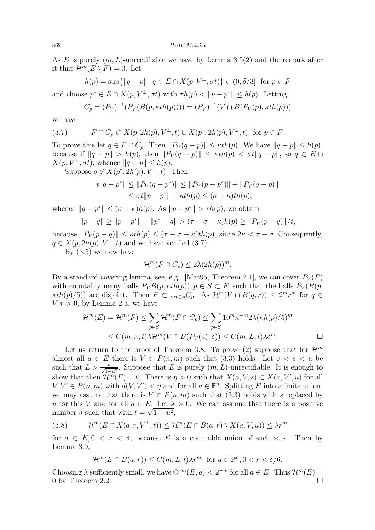As E is purely  $(m, L)$ -unrectifiable we have by Lemma [3.5\(](#page-5-1)2) and the remark after it that  $\mathcal{H}^m(E \setminus F) = 0$ . Let

$$
h(p) = \sup \{ ||q - p|| : q \in E \cap X(p, V^{\perp}, \sigma t) \} \in (0, \delta/3] \text{ for } p \in F
$$
  
and choose  $p^* \in E \cap X(p, V^{\perp}, \sigma t)$  with  $\tau h(p) < ||p - p^*|| \leq h(p)$ . Letting  

$$
C_p = (P_V)^{-1}(P_V(B(p, \kappa th(p)))) = (P_V)^{-1}(V \cap B(P_V(p), \kappa th(p)))
$$

we have

<span id="page-7-0"></span>(3.7) 
$$
F \cap C_p \subset X(p, 2h(p), V^{\perp}, t) \cup X(p^*, 2h(p), V^{\perp}, t) \text{ for } p \in F.
$$

To prove this let  $q \in F \cap C_p$ . Then  $||P_V(q - p)|| \leq \kappa th(p)$ . We have  $||q - p|| \leq h(p)$ , because if  $||q - p|| > h(p)$ , then  $||P_V(q - p)|| \le \kappa th(p) < \sigma t ||q - p||$ , so  $q \in E \cap$  $X(p, V^{\perp}, \sigma t)$ , whence  $||q - p|| \leq h(p)$ .

Suppose  $q \notin X(p^*, 2h(p), V^{\perp}, t)$ . Then

$$
t||q - p^*|| \le ||P_V(q - p^*)|| \le ||P_V(p - p^*)|| + ||P_V(q - p)||
$$
  
\n
$$
\le \sigma t||p - p^*|| + \kappa th(p) \le (\sigma + \kappa)th(p),
$$

whence  $||q - p^*|| \leq (\sigma + \kappa)h(p)$ . As  $||p - p^*|| > \tau h(p)$ , we obtain

$$
||p - q|| \ge ||p - p^*|| - ||p^* - q|| > (\tau - \sigma - \kappa)h(p) \ge ||P_V(p - q)||/t,
$$

because  $||P_V (p - q)|| \le \kappa t h(p) \le (\tau - \sigma - \kappa) t h(p)$ , since  $2\kappa < \tau - \sigma$ . Consequently,  $q \in X(p, 2h(p), V^{\perp}, t)$  and we have verified [\(3.7\)](#page-7-0).

By  $(3.5)$  we now have

$$
\mathcal{H}^m(F \cap C_p) \le 2\lambda (2h(p))^m.
$$

By a standard covering lemma, see, e.g., [\[Mat95,](#page-28-13) Theorem 2.1], we can cover  $P_V(F)$ with countably many balls  $P_V B(p, \kappa th(p)), p \in S \subset F$ , such that the balls  $P_V (B(p, \kappa th(p)), p \in S \subset F)$  $\kappa th(p)/5)$  are disjoint. Then  $F \subset \bigcup_{p \in S} C_p$ . As  $\mathcal{H}^m(V \cap B(q,r)) \leq 2^m r^m$  for  $q \in \mathbb{Z}$  $V, r > 0$ , by Lemma [2.3,](#page-3-2) we have

$$
\mathcal{H}^m(E) = \mathcal{H}^m(F) \le \sum_{p \in S} \mathcal{H}^m(F \cap C_p) \le \sum_{p \in S} 10^m \kappa^{-m} 2\lambda(\kappa h(p)/5)^m
$$
  

$$
\le C(m, \kappa, t) \lambda \mathcal{H}^m(V \cap B(P_V(a), \delta)) \le C(m, L, t) \lambda \delta^m.
$$

Let us return to the proof of Theorem [3.8.](#page-6-2) To prove (2) suppose that for  $\mathcal{H}^m$ almost all  $a \in E$  there is  $V \in P(n,m)$  such that [\(3.3\)](#page-6-0) holds. Let  $0 < s < u$  be such that  $L > \frac{u}{\sqrt{1-u^2}}$ . Suppose that E is purely  $(m, L)$ -unrectifiable. It is enough to show that then  $\mathcal{H}^m(E) = 0$ . There is  $\eta > 0$  such that  $X(a, V, s) \subset X(a, V', u)$  for all  $V, V' \in P(n, m)$  with  $d(V, V') < \eta$  and for all  $a \in \mathbb{P}^n$ . Splitting E into a finite union, we may assume that there is  $V \in P(n, m)$  such that [\(3.3\)](#page-6-0) holds with s replaced by u for this V and for all  $a \in E$ . Let  $\lambda > 0$ . We can assume that there is a positive number  $\delta$  such that with  $t = \sqrt{1 - u^2}$ ,

$$
(3.8) \t\mathcal{H}^m(E \cap X(a,r,V^{\perp},t)) \leq \mathcal{H}^m(E \cap B(a,r) \setminus X(a,V,u)) \leq \lambda r^m
$$

for  $a \in E$ ,  $0 \lt r \lt \delta$ , because E is a countable union of such sets. Then by Lemma [3.9,](#page-6-3)

$$
\mathcal{H}^m(E \cap B(a,r)) \le C(m,L,t)\lambda r^m \text{ for } a \in \mathbb{P}^n, 0 < r < \delta/6.
$$

Choosing  $\lambda$  sufficiently small, we have  $\Theta^{*m}(E, a) < 2^{-m}$  for all  $a \in E$ . Thus  $\mathcal{H}^m(E) =$ 0 by Theorem [2.2.](#page-3-1)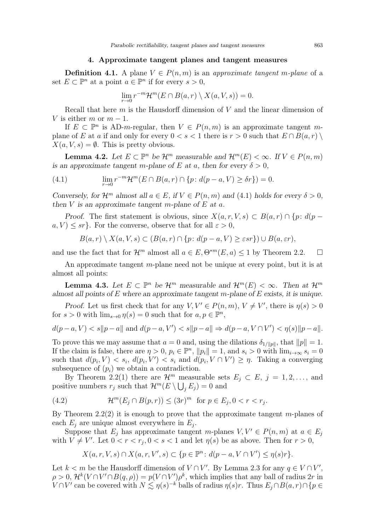# 4. Approximate tangent planes and tangent measures

<span id="page-8-4"></span><span id="page-8-0"></span>**Definition 4.1.** A plane  $V \in P(n,m)$  is an approximate tangent m-plane of a set  $E \subset \mathbb{P}^n$  at a point  $a \in \mathbb{P}^n$  if for every  $s > 0$ ,

$$
\lim_{r \to 0} r^{-m} \mathcal{H}^m(E \cap B(a, r) \setminus X(a, V, s)) = 0.
$$

Recall that here  $m$  is the Hausdorff dimension of  $V$  and the linear dimension of V is either m or  $m-1$ .

If  $E \subset \mathbb{P}^n$  is AD-m-regular, then  $V \in P(n,m)$  is an approximate tangent mplane of E at a if and only for every  $0 < s < 1$  there is  $r > 0$  such that  $E \cap B(a, r)$  $X(a, V, s) = \emptyset$ . This is pretty obvious.

<span id="page-8-5"></span>**Lemma 4.2.** Let  $E \subset \mathbb{P}^n$  be  $\mathcal{H}^m$  measurable and  $\mathcal{H}^m(E) < \infty$ . If  $V \in P(n, m)$ is an approximate tangent m-plane of E at a, then for every  $\delta > 0$ ,

<span id="page-8-1"></span>(4.1) 
$$
\lim_{r \to 0} r^{-m} \mathcal{H}^m(E \cap B(a, r) \cap \{p : d(p - a, V) \ge \delta r\}) = 0.
$$

Conversely, for  $\mathcal{H}^m$  almost all  $a \in E$ , if  $V \in P(n,m)$  and [\(4.1\)](#page-8-1) holds for every  $\delta > 0$ , then  $V$  is an approximate tangent m-plane of  $E$  at  $a$ .

Proof. The first statement is obvious, since  $X(a, r, V, s) \subset B(a, r) \cap \{p : d(p$  $a, V \leq sr$ . For the converse, observe that for all  $\varepsilon > 0$ ,

$$
B(a,r) \setminus X(a,V,s) \subset (B(a,r) \cap \{p \colon d(p-a,V) \geq \varepsilon sr\}) \cup B(a,\varepsilon r),
$$

and use the fact that for  $\mathcal{H}^m$  almost all  $a \in E$ ,  $\Theta^{*m}(E, a) \leq 1$  by Theorem [2.2.](#page-3-1)

An approximate tangent m-plane need not be unique at every point, but it is at almost all points:

<span id="page-8-3"></span>**Lemma 4.3.** Let  $E \subset \mathbb{P}^n$  be  $\mathcal{H}^m$  measurable and  $\mathcal{H}^m(E) < \infty$ . Then at  $\mathcal{H}^m$ almost all points of  $E$  where an approximate tangent m-plane of  $E$  exists, it is unique.

Proof. Let us first check that for any  $V, V' \in P(n, m), V \neq V'$ , there is  $\eta(s) > 0$ for  $s > 0$  with  $\lim_{s\to 0} \eta(s) = 0$  such that for  $a, p \in \mathbb{P}^n$ ,

$$
d(p-a, V) < s \|p-a\| \text{ and } d(p-a, V') < s \|p-a\| \Rightarrow d(p-a, V \cap V') < \eta(s) \|p-a\|.
$$

To prove this we may assume that  $a = 0$  and, using the dilations  $\delta_{1/\|\mathbf{p}\|}$ , that  $\|\mathbf{p}\| = 1$ . If the claim is false, there are  $\eta > 0$ ,  $p_i \in \mathbb{P}^n$ ,  $||p_i|| = 1$ , and  $s_i > 0$  with  $\lim_{i \to \infty} s_i = 0$ such that  $d(p_i, V) < s_i$ ,  $d(p_i, V') < s_i$  and  $d(p_i, V \cap V') \geq \eta$ . Taking a converging subsequence of  $(p_i)$  we obtain a contradiction.

By Theorem [2.2\(](#page-3-1)1) there are  $\mathcal{H}^m$  measurable sets  $E_i \subset E, j = 1, 2, \ldots$ , and positive numbers  $r_j$  such that  $\mathcal{H}^m(E \setminus \bigcup_j E_j) = 0$  and

<span id="page-8-2"></span>(4.2) 
$$
\mathcal{H}^m(E_j \cap B(p,r)) \leq (3r)^m \text{ for } p \in E_j, 0 < r < r_j.
$$

By Theorem [2.2\(](#page-3-1)2) it is enough to prove that the approximate tangent m-planes of each  $E_j$  are unique almost everywhere in  $E_j$ .

Suppose that  $E_i$  has approximate tangent m-planes  $V, V' \in P(n, m)$  at  $a \in E_i$ with  $V \neq V'$ . Let  $0 < r < r_j$ ,  $0 < s < 1$  and let  $\eta(s)$  be as above. Then for  $r > 0$ ,

$$
X(a,r,V,s) \cap X(a,r,V',s) \subset \{p \in \mathbb{P}^n \colon d(p-a,V \cap V') \leq \eta(s)r\}.
$$

Let  $k < m$  be the Hausdorff dimension of  $V \cap V'$ . By Lemma [2.3](#page-3-2) for any  $q \in V \cap V'$ ,  $\rho > 0$ ,  $\mathcal{H}^k(V \cap V' \cap B(q, \rho)) = p(V \cap V')\rho^k$ , which implies that any ball of radius 2r in  $V \cap V'$  can be covered with  $N \lesssim \eta(s)^{-k}$  balls of radius  $\eta(s)r$ . Thus  $E_j \cap B(a, r) \cap \{p \in$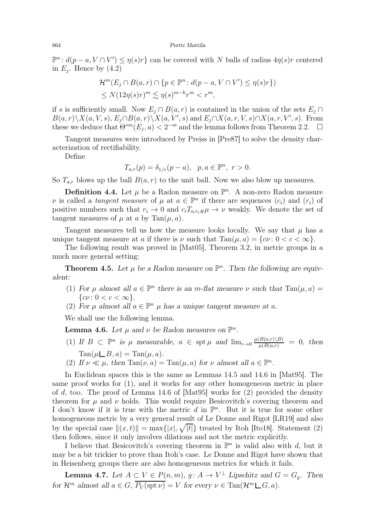$\mathbb{P}^n: d(p-a, V \cap V') \leq \eta(s)r$  can be covered with N balls of radius  $4\eta(s)r$  centered in  $E_j$ . Hence by  $(4.2)$ 

$$
\mathcal{H}^m(E_j \cap B(a,r) \cap \{p \in \mathbb{P}^n : d(p-a, V \cap V') \le \eta(s)r\})
$$
  
\$\le N(12\eta(s)r)^m \lesssim \eta(s)^{m-k}r^m < r^m\$,

if s is sufficiently small. Now  $E_i \cap B(a, r)$  is contained in the union of the sets  $E_i \cap$  $B(a, r)\ X(a, V, s), E_j \cap B(a, r)\ X(a, V', s)$  and  $E_j \cap X(a, r, V, s) \cap X(a, r, V', s)$ . From these we deduce that  $\Theta^{*m}(E_j, a) < 2^{-m}$  and the lemma follows from Theorem [2.2.](#page-3-1)  $\Box$ 

Tangent measures were introduced by Preiss in [\[Pre87\]](#page-29-0) to solve the density characterization of rectifiability.

Define

$$
T_{a,r}(p)=\delta_{1/r}(p-a),\ \ p,a\in\mathbb{P}^n,\ r>0.
$$

So  $T_{a,r}$  blows up the ball  $B(a,r)$  to the unit ball. Now we also blow up measures.

**Definition 4.4.** Let  $\mu$  be a Radon measure on  $\mathbb{P}^n$ . A non-zero Radon measure v is called a *tangent measure* of  $\mu$  at  $a \in \mathbb{P}^n$  if there are sequences  $(c_i)$  and  $(r_i)$  of positive numbers such that  $r_i \to 0$  and  $c_i T_{a,r_i \# \mu} \to \nu$  weakly. We denote the set of tangent measures of  $\mu$  at a by Tan $(\mu, a)$ .

Tangent measures tell us how the measure looks locally. We say that  $\mu$  has a unique tangent measure at a if there is  $\nu$  such that  $\text{Tan}(\mu, a) = \{c\nu : 0 < c < \infty\}.$ 

The following result was proved in [\[Mat05\]](#page-28-1), Theorem 3.2, in metric groups in a much more general setting:

<span id="page-9-1"></span>**Theorem 4.5.** Let  $\mu$  be a Radon measure on  $\mathbb{P}^n$ . Then the following are equivalent:

- (1) For  $\mu$  almost all  $a \in \mathbb{P}^n$  there is an m-flat measure  $\nu$  such that  $\text{Tan}(\mu, a) =$  ${cv : 0 < c < \infty}.$
- (2) For  $\mu$  almost all  $a \in \mathbb{P}^n$   $\mu$  has a unique tangent measure at  $a$ .

We shall use the following lemma.

**Lemma 4.6.** Let  $\mu$  and  $\nu$  be Radon measures on  $\mathbb{P}^n$ .

- (1) If  $B \subset \mathbb{P}^n$  is  $\mu$  measurable,  $a \in \text{spt } \mu$  and  $\lim_{r \to 0} \frac{\mu(B(a,r) \setminus B)}{\mu(B(a,r))} = 0$ , then  $Tan(\mu \square B, a) = Tan(\mu, a).$
- (2) If  $\nu \ll \mu$ , then  $\text{Tan}(\nu, a) = \text{Tan}(\mu, a)$  for  $\nu$  almost all  $a \in \mathbb{P}^n$ .

In Euclidean spaces this is the same as Lemmas 14.5 and 14.6 in [\[Mat95\]](#page-28-13). The same proof works for (1), and it works for any other homogeneous metric in place of d, too. The proof of Lemma 14.6 of [\[Mat95\]](#page-28-13) works for (2) provided the density theorem for  $\mu$  and  $\nu$  holds. This would require Besicovitch's covering theorem and I don't know if it is true with the metric  $d$  in  $\mathbb{P}^n$ . But it is true for some other homogeneous metric by a very general result of Le Donne and Rigot [\[LR19\]](#page-28-14) and also by the special case  $||(x,t)|| = \max\{|x|, \sqrt{|t|}\}\)$  treated by Itoh [\[Ito18\]](#page-28-15). Statement (2) then follows, since it only involves dilations and not the metric explicitly.

I believe that Besicovitch's covering theorem in  $\mathbb{P}^n$  is valid also with d, but it may be a bit trickier to prove than Itoh's case. Le Donne and Rigot have shown that in Heisenberg groups there are also homogeneous metrics for which it fails.

<span id="page-9-0"></span>**Lemma 4.7.** Let  $A \subseteq V \in P(n,m)$ ,  $g: A \to V^{\perp}$  Lipschitz and  $G = G_g$ . Then for  $\mathcal{H}^m$  almost all  $a \in G$ ,  $\overline{P_V(\text{spt } \nu)} = V$  for every  $\nu \in \text{Tan}(\mathcal{H}^m \sqcup G, a)$ .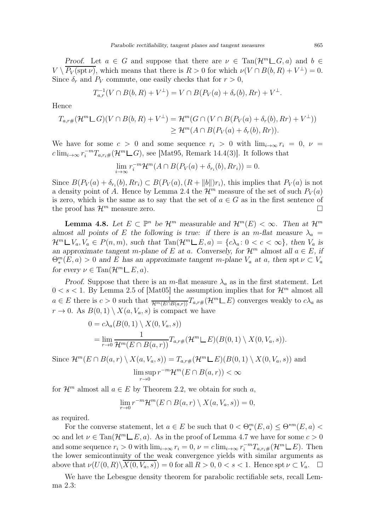Proof. Let  $a \in G$  and suppose that there are  $\nu \in \text{Tan}(\mathcal{H}^m \square G, a)$  and  $b \in$  $V \setminus P_V(\text{spt } \nu)$ , which means that there is  $R > 0$  for which  $\nu(V \cap B(b, R) + V^{\perp}) = 0$ . Since  $\delta_r$  and  $P_V$  commute, one easily checks that for  $r > 0$ ,

$$
T_{a,r}^{-1}(V \cap B(b,R) + V^{\perp}) = V \cap B(P_V(a) + \delta_r(b), Rr) + V^{\perp}.
$$

Hence

$$
T_{a,r\#}(\mathcal{H}^m \mathbb{L}G)(V \cap B(b,R) + V^{\perp}) = \mathcal{H}^m(G \cap (V \cap B(P_V(a) + \delta_r(b), Rr) + V^{\perp}))
$$
  
\n
$$
\geq \mathcal{H}^m(A \cap B(P_V(a) + \delta_r(b), Rr)).
$$

We have for some  $c > 0$  and some sequence  $r_i > 0$  with  $\lim_{i \to \infty} r_i = 0$ ,  $\nu =$  $c \lim_{i \to \infty} r_i^{-m} T_{a,r_i} \#(\mathcal{H}^m \sqcup G)$ , see [\[Mat95,](#page-28-13) Remark 14.4(3)]. It follows that

$$
\lim_{i \to \infty} r_i^{-m} \mathcal{H}^m(A \cap B(P_V(a) + \delta_{r_i}(b), Rr_i)) = 0.
$$

Since  $B(P_V(a) + \delta_{r_i}(b), Rr_i) \subset B(P_V(a), (R + ||b||)r_i)$ , this implies that  $P_V(a)$  is not a density point of A. Hence by Lemma [2.4](#page-4-2) the  $\mathcal{H}^m$  measure of the set of such  $P_V(a)$ is zero, which is the same as to say that the set of  $a \in G$  as in the first sentence of the proof has  $\mathcal{H}^m$  measure zero. the proof has  $\mathcal{H}^m$  measure zero.

<span id="page-10-0"></span>**Lemma 4.8.** Let  $E \subset \mathbb{P}^n$  be  $\mathcal{H}^m$  measurable and  $\mathcal{H}^m(E) < \infty$ . Then at  $\mathcal{H}^m$ almost all points of E the following is true: if there is an m-flat measure  $\lambda_a$  =  $\mathcal{H}^m \square V_a, V_a \in P(n,m)$ , such that  $\text{Tan}(\mathcal{H}^m \square E, a) = \{c\lambda_a : 0 < c < \infty\}$ , then  $V_a$  is an approximate tangent m-plane of E at a. Conversely, for  $\mathcal{H}^m$  almost all  $a \in E$ , if  $\Theta_*^m(E, a) > 0$  and E has an approximate tangent m-plane  $V_a$  at a, then spt  $\nu \subset V_a$ for every  $\nu \in \text{Tan}(\mathcal{H}^m \mathcal{L} E, a)$ .

Proof. Suppose that there is an m-flat measure  $\lambda_a$  as in the first statement. Let  $0 < s < 1$ . By Lemma 2.5 of [\[Mat05\]](#page-28-1) the assumption implies that for  $\mathcal{H}^m$  almost all  $a \in E$  there is  $c > 0$  such that  $\frac{1}{\mathcal{H}^m(E \cap B(a,r))} T_{a,r\#}(\mathcal{H}^m \sqcup E)$  converges weakly to  $c\lambda_a$  as  $r \to 0$ . As  $B(0,1) \setminus X(a, V_a, s)$  is compact we have

$$
0 = c\lambda_a(B(0,1) \setminus X(0,V_a,s))
$$
  
= 
$$
\lim_{r \to 0} \frac{1}{\mathcal{H}^m(E \cap B(a,r))} T_{a,r\#}(\mathcal{H}^m \sqcup E)(B(0,1) \setminus X(0,V_a,s)).
$$

Since  $\mathcal{H}^m(E \cap B(a,r) \setminus X(a, V_a, s)) = T_{a,r\#}(\mathcal{H}^m \sqcup E)(B(0,1) \setminus X(0, V_a, s))$  and  $\limsup_{n \to \infty} r^{-m} \mathcal{H}^m(E \cap B(a,r)) < \infty$  $r\rightarrow 0$ 

for  $\mathcal{H}^m$  almost all  $a \in E$  by Theorem [2.2,](#page-3-1) we obtain for such a,

$$
\lim_{r \to 0} r^{-m} \mathcal{H}^m(E \cap B(a, r) \setminus X(a, V_a, s)) = 0,
$$

as required.

For the converse statement, let  $a \in E$  be such that  $0 < \Theta_*^m(E, a) \leq \Theta^{*m}(E, a) <$  $\infty$  and let  $\nu \in \text{Tan}(\mathcal{H}^m \sqcup E, a)$ . As in the proof of Lemma [4.7](#page-9-0) we have for some  $c > 0$ and some sequence  $r_i > 0$  with  $\lim_{i \to \infty} r_i = 0$ ,  $\nu = c \lim_{i \to \infty} r_i^{-m} T_{a, r_i \#}(\mathcal{H}^m \sqcup E)$ . Then the lower semicontinuity of the weak convergence yields with similar arguments as above that  $\nu(U(0,R)\setminus X(0, V_a, s)) = 0$  for all  $R > 0, 0 < s < 1$ . Hence spt  $\nu \subset V_a$ .

We have the Lebesgue density theorem for parabolic rectifiable sets, recall Lemma [2.3:](#page-3-2)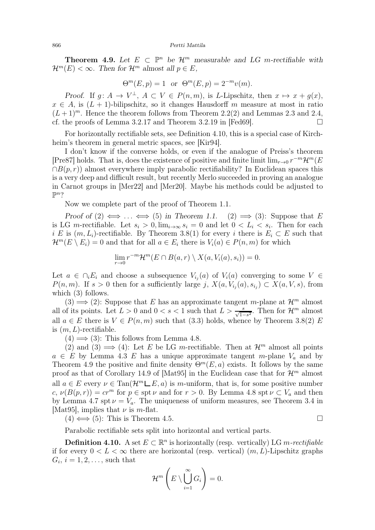<span id="page-11-1"></span>**Theorem 4.9.** Let  $E \subset \mathbb{P}^n$  be  $\mathcal{H}^m$  measurable and LG m-rectifiable with  $\mathcal{H}^m(E) < \infty$ . Then for  $\mathcal{H}^m$  almost all  $p \in E$ ,

$$
\Theta^m(E, p) = 1
$$
 or  $\Theta^m(E, p) = 2^{-m}v(m)$ .

Proof. If  $g: A \to V^{\perp}$ ,  $A \subset V \in P(n,m)$ , is L-Lipschitz, then  $x \mapsto x + g(x)$ ,  $x \in A$ , is  $(L + 1)$ -bilipschitz, so it changes Hausdorff m measure at most in ratio  $(L+1)^m$ . Hence the theorem follows from Theorem [2.2\(](#page-3-1)2) and Lemmas [2.3](#page-3-2) and [2.4,](#page-4-2) cf. the proofs of Lemma 3.2.17 and Theorem 3.2.19 in [\[Fed69\]](#page-28-11).  $\Box$ 

For horizontally rectifiable sets, see Definition [4.10,](#page-11-0) this is a special case of Kirchheim's theorem in general metric spaces, see [\[Kir94\]](#page-28-16).

I don't know if the converse holds, or even if the analogue of Preiss's theorem [\[Pre87\]](#page-29-0) holds. That is, does the existence of positive and finite limit  $\lim_{r\to 0} r^{-m} \mathcal{H}^m(E)$  $\cap B(p,r)$  almost everywhere imply parabolic rectifiability? In Euclidean spaces this is a very deep and difficult result, but recently Merlo succeeded in proving an analogue in Carnot groups in [\[Mer22\]](#page-29-1) and [\[Mer20\]](#page-29-2). Maybe his methods could be adjusted to  $\mathbb{P}^n$ ?

Now we complete part of the proof of Theorem [1.1.](#page-0-4)

Proof of  $(2) \iff ... \iff (5)$  in Theorem [1.1.](#page-0-4)  $(2) \implies (3)$ : Suppose that E is LG m-rectifiable. Let  $s_i > 0$ ,  $\lim_{i \to \infty} s_i = 0$  and let  $0 < L_i < s_i$ . Then for each i E is  $(m, L_i)$ -rectifiable. By Theorem [3.8\(](#page-6-2)1) for every i there is  $E_i \subset E$  such that  $\mathcal{H}^m(E \setminus E_i) = 0$  and that for all  $a \in E_i$  there is  $V_i(a) \in P(n,m)$  for which

$$
\lim_{r \to 0} r^{-m} \mathcal{H}^m(E \cap B(a, r) \setminus X(a, V_i(a), s_i)) = 0.
$$

Let  $a \in \bigcap_i E_i$  and choose a subsequence  $V_{i_j}(a)$  of  $V_i(a)$  converging to some  $V \in$  $P(n,m)$ . If  $s > 0$  then for a sufficiently large j,  $X(a, V_{i_j}(a), s_{i_j}) \subset X(a, V, s)$ , from which  $(3)$  follows.

(3)  $\implies$  (2): Suppose that E has an approximate tangent m-plane at  $\mathcal{H}^m$  almost all of its points. Let  $L > 0$  and  $0 < s < 1$  such that  $L > \frac{s}{\sqrt{1-s^2}}$ . Then for  $\mathcal{H}^m$  almost all  $a \in E$  there is  $V \in P(n,m)$  such that [\(3.3\)](#page-6-0) holds, whence by Theorem [3.8\(](#page-6-2)2) E is  $(m, L)$ -rectifiable.

 $(4) \Longrightarrow (3)$ : This follows from Lemma [4.8.](#page-10-0)

(2) and (3)  $\implies$  (4): Let E be LG m-rectifiable. Then at  $\mathcal{H}^m$  almost all points  $a \in E$  by Lemma [4.3](#page-8-3) E has a unique approximate tangent m-plane  $V_a$  and by Theorem [4.9](#page-11-1) the positive and finite density  $\Theta^m(E, a)$  exists. It follows by the same proof as that of Corollary 14.9 of [\[Mat95\]](#page-28-13) in the Euclidean case that for  $\mathcal{H}^m$  almost all  $a \in E$  every  $\nu \in \text{Tan}(\mathcal{H}^m \sqcup E, a)$  is m-uniform, that is, for some positive number c,  $\nu(B(p,r)) = cr^m$  for  $p \in \text{spt } \nu$  and for  $r > 0$ . By Lemma [4.8](#page-10-0) spt  $\nu \subset V_a$  and then by Lemma [4.7](#page-9-0) spt  $\nu = V_a$ . The uniqueness of uniform measures, see Theorem 3.4 in [\[Mat95\]](#page-28-13), implies that  $\nu$  is *m*-flat.

 $(4) \iff (5)$ : This is Theorem [4.5.](#page-9-1)

Parabolic rectifiable sets split into horizontal and vertical parts.

<span id="page-11-0"></span>**Definition 4.10.** A set  $E \subset \mathbb{R}^n$  is horizontally (resp. vertically) LG m-rectifiable if for every  $0 < L < \infty$  there are horizontal (resp. vertical)  $(m, L)$ -Lipschitz graphs  $G_i, i = 1, 2, \ldots$ , such that

$$
\mathcal{H}^m\left(E\setminus\bigcup_{i=1}^{\infty}G_i\right)=0.
$$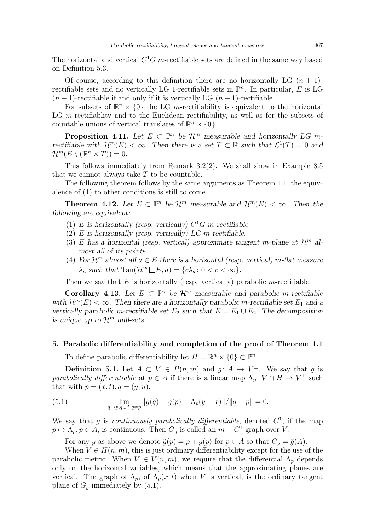The horizontal and vertical  $C<sup>1</sup>G$  m-rectifiable sets are defined in the same way based on Definition [5.3.](#page-15-1)

Of course, according to this definition there are no horizontally LG  $(n + 1)$ rectifiable sets and no vertically LG 1-rectifiable sets in  $\mathbb{P}^n$ . In particular, E is LG  $(n + 1)$ -rectifiable if and only if it is vertically LG  $(n + 1)$ -rectifiable.

For subsets of  $\mathbb{R}^n \times \{0\}$  the LG m-rectifiability is equivalent to the horizontal LG m-rectifiablity and to the Euclidean rectifiability, as well as for the subsets of countable unions of vertical translates of  $\mathbb{R}^n \times \{0\}$ .

**Proposition 4.11.** Let  $E \subset \mathbb{P}^n$  be  $\mathcal{H}^m$  measurable and horizontally LG mrectifiable with  $\mathcal{H}^m(E) < \infty$ . Then there is a set  $T \subset \mathbb{R}$  such that  $\mathcal{L}^1(T) = 0$  and  $\mathcal{H}^m(E\setminus (\mathbb{R}^n\times T))=0.$ 

This follows immediately from Remark [3.2\(](#page-4-3)2). We shall show in Example [8.5](#page-27-2) that we cannot always take  $T$  to be countable.

The following theorem follows by the same arguments as Theorem [1.1,](#page-0-4) the equivalence of (1) to other conditions is still to come.

<span id="page-12-3"></span>**Theorem 4.12.** Let  $E \subset \mathbb{P}^n$  be  $\mathcal{H}^m$  measurable and  $\mathcal{H}^m(E) < \infty$ . Then the following are equivalent:

- (1) E is horizontally (resp. vertically)  $C^1G$  m-rectifiable.
- (2)  $E$  is horizontally (resp. vertically)  $LG$  m-rectifiable.
- (3) E has a horizontal (resp. vertical) approximate tangent m-plane at  $\mathcal{H}^m$  almost all of its points.
- (4) For  $\mathcal{H}^m$  almost all  $a \in E$  there is a horizontal (resp. vertical) m-flat measure  $\lambda_a$  such that  $\text{Tan}(\mathcal{H}^m \sqcup E, a) = \{c\lambda_a : 0 < c < \infty\}.$

Then we say that  $E$  is horizontally (resp. vertically) parabolic m-rectifiable.

Corollary 4.13. Let  $E \subset \mathbb{P}^n$  be  $\mathcal{H}^m$  measurable and parabolic m-rectifiable with  $\mathcal{H}^m(E) < \infty$ . Then there are a horizontally parabolic m-rectifiable set  $E_1$  and a vertically parabolic m-rectifiable set  $E_2$  such that  $E = E_1 \cup E_2$ . The decomposition is unique up to  $\mathcal{H}^m$  null-sets.

# <span id="page-12-0"></span>5. Parabolic differentiability and completion of the proof of Theorem [1.1](#page-0-4)

To define parabolic differentiability let  $H = \mathbb{R}^n \times \{0\} \subset \mathbb{P}^n$ .

<span id="page-12-1"></span>**Definition 5.1.** Let  $A \subset V \in P(n,m)$  and  $g: A \to V^{\perp}$ . We say that g is parabolically differentiable at  $p \in A$  if there is a linear map  $\Lambda_p : V \cap H \to V^{\perp}$  such that with  $p = (x, t), q = (y, u)$ ,

<span id="page-12-2"></span>(5.1) 
$$
\lim_{q \to p, q \in A, q \neq p} \|g(q) - g(p) - \Lambda_p(y - x)\| / \|q - p\| = 0.
$$

We say that g is continuously parabolically differentiable, denoted  $C<sup>1</sup>$ , if the map  $p \mapsto \Lambda_p, p \in A$ , is continuous. Then  $G_g$  is called an  $m - C^1$  graph over V.

For any g as above we denote  $\tilde{g}(p) = p + g(p)$  for  $p \in A$  so that  $G_q = \tilde{g}(A)$ .

When  $V \in H(n, m)$ , this is just ordinary differentiability except for the use of the parabolic metric. When  $V \in V(n,m)$ , we require that the differential  $\Lambda_p$  depends only on the horizontal variables, which means that the approximating planes are vertical. The graph of  $\Lambda_p$ , of  $\Lambda_p(x,t)$  when V is vertical, is the ordinary tangent plane of  $G<sub>q</sub>$  immediately by [\(5.1\)](#page-12-1).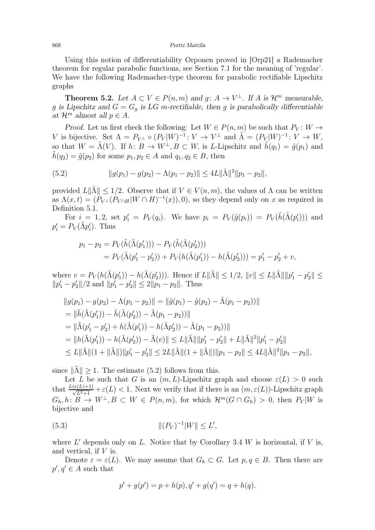Using this notion of differentiability Orponen proved in [\[Orp21\]](#page-29-3) a Rademacher theorem for regular parabolic functions, see Section 7.1 for the meaning of 'regular'. We have the following Rademacher-type theorem for parabolic rectifiable Lipschitz graphs

<span id="page-13-0"></span>**Theorem 5.2.** Let  $A \subset V \in P(n,m)$  and  $g: A \to V^{\perp}$ . If A is  $\mathcal{H}^m$  measurable, g is Lipschitz and  $G = G<sub>g</sub>$  is LG m-rectifiable, then g is parabolically differentiable at  $\mathcal{H}^m$  almost all  $p \in A$ .

Proof. Let us first check the following: Let  $W \in P(n, m)$  be such that  $P_V: W \rightarrow$ V is bijective. Set  $\Lambda = P_{V^{\perp}} \circ (P_V | W)^{-1} : V \to V^{\perp}$  and  $\tilde{\Lambda} = (P_V | W)^{-1} : V \to W$ , so that  $W = \tilde{\Lambda}(V)$ . If  $h: B \to W^{\perp}, B \subset W$ , is L-Lipschitz and  $\tilde{h}(q_1) = \tilde{g}(p_1)$  and  $\tilde{h}(q_2) = \tilde{g}(p_2)$  for some  $p_1, p_2 \in A$  and  $q_1, q_2 \in B$ , then

<span id="page-13-1"></span>(5.2) 
$$
||g(p_1) - g(p_2) - \Lambda(p_1 - p_2)|| \le 4L||\tilde{\Lambda}||^2||p_1 - p_2||,
$$

provided  $L\|\tilde{\Lambda}\| \leq 1/2$ . Observe that if  $V \in V(n,m)$ , the values of  $\Lambda$  can be written as  $\Lambda(x,t) = (P_{V^{\perp}}(P_{V \cap H} | W \cap H)^{-1}(x)), 0)$ , so they depend only on x as required in Definition [5.1.](#page-12-1)

For  $i = 1, 2$ , set  $p'_i = P_V(q_i)$ . We have  $p_i = P_V(\tilde{g}(p_i)) = P_V(\tilde{h}(\tilde{\Lambda}(p'_i)))$  and  $p'_i = P_V(\tilde{\Lambda} p'_i)$ . Thus

$$
p_1 - p_2 = P_V(\tilde{h}(\tilde{\Lambda}(p'_1))) - P_V(\tilde{h}(\tilde{\Lambda}(p'_2)))
$$
  
=  $P_V(\tilde{\Lambda}(p'_1 - p'_2)) + P_V(h(\tilde{\Lambda}(p'_1)) - h(\tilde{\Lambda}(p'_2))) = p'_1 - p'_2 + v,$ 

where  $v = P_V(h(\tilde{\Lambda}(p'_1)) - h(\tilde{\Lambda}(p'_2)))$ . Hence if  $L\|\tilde{\Lambda}\| \leq 1/2$ ,  $||v|| \leq L\|\tilde{\Lambda}\||p'_1 - p'_2|| \leq$  $||p'_1 - p'_2||/2$  and  $||p'_1 - p'_2|| \le 2||p_1 - p_2||$ . Thus

$$
||g(p_1) - g(p_2) - \Lambda(p_1 - p_2)|| = ||\tilde{g}(p_1) - \tilde{g}(p_2) - \tilde{\Lambda}(p_1 - p_2))||
$$
  
\n= 
$$
||\tilde{h}(\tilde{\Lambda}(p'_1)) - \tilde{h}(\tilde{\Lambda}(p'_2)) - \tilde{\Lambda}(p_1 - p_2))||
$$
  
\n= 
$$
||\tilde{\Lambda}(p'_1 - p'_2) + h(\tilde{\Lambda}(p'_1)) - h(\tilde{\Lambda}p'_2)) - \tilde{\Lambda}(p_1 - p_2))||
$$
  
\n= 
$$
||h(\tilde{\Lambda}(p'_1)) - h(\tilde{\Lambda}(p'_2)) - \tilde{\Lambda}(v)|| \le L||\tilde{\Lambda}|| ||p'_1 - p'_2|| + L||\tilde{\Lambda}||^2 ||p'_1 - p'_2||
$$
  
\n
$$
\le L||\tilde{\Lambda}||(1 + ||\tilde{\Lambda}||)||p'_1 - p'_2|| \le 2L||\tilde{\Lambda}||(1 + ||\tilde{\Lambda}||)||p_1 - p_2|| \le 4L||\tilde{\Lambda}||^2||p_1 - p_2||,
$$

since  $\|\tilde{\Lambda}\| \geq 1$ . The estimate [\(5.2\)](#page-13-1) follows from this.

Let L be such that G is an  $(m, L)$ -Lipschitz graph and choose  $\varepsilon(L) > 0$  such that  $\frac{L(\varepsilon(L)+1)}{\sqrt{L^2+1}} + \varepsilon(L) < 1$ . Next we verify that if there is an  $(m, \varepsilon(L))$ -Lipschitz graph  $G_h, h: B \to W^{\perp}, B \subset W \in P(n,m)$ , for which  $\mathcal{H}^m(G \cap G_h) > 0$ , then  $P_V | W$  is bijective and

(5.3) 
$$
\|(P_V)^{-1}|W\| \le L',
$$

where  $L'$  depends only on  $L$ . Notice that by Corollary [3.4](#page-5-2)  $W$  is horizontal, if  $V$  is, and vertical, if  $V$  is.

Denote  $\varepsilon = \varepsilon(L)$ . We may assume that  $G_h \subset G$ . Let  $p, q \in B$ . Then there are  $p', q' \in A$  such that

<span id="page-13-2"></span>
$$
p' + g(p') = p + h(p), q' + g(q') = q + h(q).
$$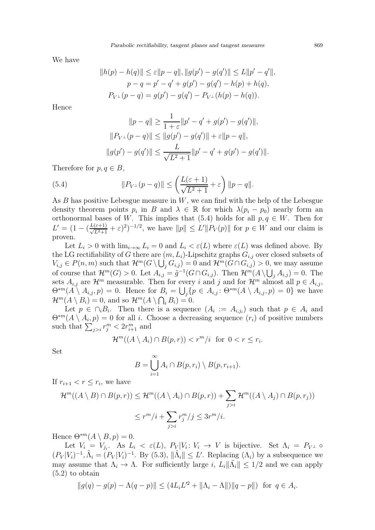We have

$$
||h(p) - h(q)|| \le \varepsilon ||p - q||, ||g(p') - g(q')|| \le L||p' - q'||,
$$
  
\n
$$
p - q = p' - q' + g(p') - g(q') - h(p) + h(q),
$$
  
\n
$$
P_{V^{\perp}}(p - q) = g(p') - g(q') - P_{V^{\perp}}(h(p) - h(q)).
$$

Hence

<span id="page-14-0"></span>
$$
||p - q|| \ge \frac{1}{1 + \varepsilon} ||p' - q' + g(p') - g(q')||,
$$
  

$$
||P_{V^{\perp}}(p - q)|| \le ||g(p') - g(q')|| + \varepsilon ||p - q||,
$$
  

$$
||g(p') - g(q')|| \le \frac{L}{\sqrt{L^2 + 1}} ||p' - q' + g(p') - g(q')||.
$$

Therefore for  $p, q \in B$ ,

(5.4) 
$$
||P_{V^{\perp}}(p-q)|| \le \left(\frac{L(\varepsilon+1)}{\sqrt{L^2+1}} + \varepsilon\right) ||p-q||.
$$

As  $B$  has positive Lebesgue measure in  $W$ , we can find with the help of the Lebesgue density theorem points  $p_i$  in B and  $\lambda \in \mathbb{R}$  for which  $\lambda(p_i - p_0)$  nearly form an orthonormal bases of W. This implies that [\(5.4\)](#page-14-0) holds for all  $p, q \in W$ . Then for  $L' = (1 - (\frac{L(\varepsilon+1)}{\sqrt{L^2+1}} + \varepsilon)^2)^{-1/2}$ , we have  $||p|| \le L'||P_V(p)||$  for  $p \in W$  and our claim is proven.

Let  $L_i > 0$  with  $\lim_{i \to \infty} L_i = 0$  and  $L_i < \varepsilon(L)$  where  $\varepsilon(L)$  was defined above. By the LG rectifiability of G there are  $(m, L_i)$ -Lipschitz graphs  $G_{i,j}$  over closed subsets of  $V_{i,j} \in P(n,m)$  such that  $\mathcal{H}^m(G \setminus \bigcup_j G_{i,j}) = 0$  and  $\mathcal{H}^m(G \cap G_{i,j}) > 0$ , we may assume of course that  $\mathcal{H}^m(G) > 0$ . Let  $A_{i,j} = \tilde{g}^{-1}(G \cap G_{i,j})$ . Then  $\mathcal{H}^m(A \setminus \bigcup_j A_{i,j}) = 0$ . The sets  $A_{i,j}$  are  $\mathcal{H}^m$  measurable. Then for every i and j and for  $\mathcal{H}^m$  almost all  $p \in A_{i,j}$ ,  $\Theta^{*m}(A\setminus A_{i,j},p)=0.$  Hence for  $B_i=\bigcup_j\{p\in A_{i,j}\colon \Theta^{*m}(A\setminus A_{i,j},p)=0\}$  we have  $\mathcal{H}^m(A \setminus B_i) = 0$ , and so  $\mathcal{H}^m(A \setminus \bigcap_i B_i) = 0$ .

Let  $p \in \bigcap_i B_i$ . Then there is a sequence  $(A_i := A_{i,j_i})$  such that  $p \in A_i$  and  $\Theta^{*m}(A \setminus A_i, p) = 0$  for all i. Choose a decreasing sequence  $(r_i)$  of positive numbers such that  $\sum_{j>i} r_j^m < 2r_{i+1}^m$  and

$$
\mathcal{H}^m((A \setminus A_i) \cap B(p,r)) < r^m/i \quad \text{for } 0 < r \le r_i.
$$

Set

$$
B = \bigcup_{i=1}^{\infty} A_i \cap B(p, r_i) \setminus B(p, r_{i+1}).
$$

If  $r_{i+1} < r \leq r_i$ , we have

$$
\mathcal{H}^m((A \setminus B) \cap B(p,r)) \leq \mathcal{H}^m((A \setminus A_i) \cap B(p,r)) + \sum_{j>i} \mathcal{H}^m((A \setminus A_j) \cap B(p,r_j))
$$
  

$$
\leq r^m/i + \sum_{j>i} r_j^m/j \leq 3r^m/i.
$$

Hence  $\Theta^{*m}(A \setminus B, p) = 0$ .

Let  $V_i = V_{j_i}$ . As  $L_i < \varepsilon(L)$ ,  $P_V|V_i: V_i \to V$  is bijective. Set  $\Lambda_i = P_{V^{\perp}} \circ$  $(P_V|V_i)^{-1}, \tilde{\Lambda}_i = (P_V|V_i)^{-1}$ . By [\(5.3\)](#page-13-2),  $\|\tilde{\Lambda}_i\| \leq L'$ . Replacing  $(\Lambda_i)$  by a subsequence we may assume that  $\Lambda_i \to \Lambda$ . For sufficiently large i,  $L_i || \tilde{\Lambda}_i || \leq 1/2$  and we can apply [\(5.2\)](#page-13-1) to obtain

$$
||g(q) - g(p) - \Lambda(q - p)|| \le (4L_i L'^2 + ||\Lambda_i - \Lambda||) ||q - p|| \text{ for } q \in A_i.
$$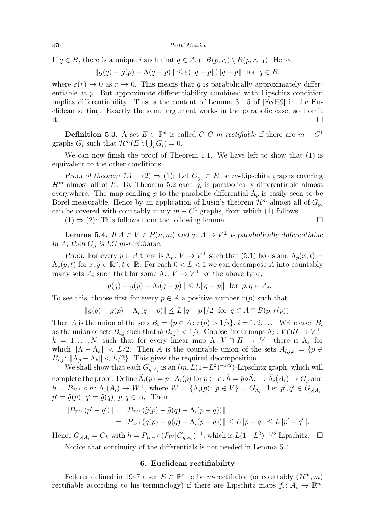If  $q \in B$ , there is a unique i such that  $q \in A_i \cap B(p, r_i) \setminus B(p, r_{i+1})$ . Hence

$$
||g(q) - g(p) - \Lambda(q - p)|| \le \varepsilon(||q - p||) ||q - p||
$$
 for  $q \in B$ ,

where  $\varepsilon(r) \to 0$  as  $r \to 0$ . This means that q is parabolically approximately differentiable at p. But approximate differentiability combined with Lipschitz condition implies differentiability. This is the content of Lemma 3.1.5 of [\[Fed69\]](#page-28-11) in the Euclidean setting. Exactly the same argument works in the parabolic case, so I omit it.

<span id="page-15-1"></span>**Definition 5.3.** A set  $E \subset \mathbb{P}^n$  is called  $C^1G$  m-rectifiable if there are  $m - C^1$ graphs  $G_i$  such that  $\mathcal{H}^m(E \setminus \bigcup_i G_i) = 0$ .

We can now finish the proof of Theorem [1.1.](#page-0-4) We have left to show that (1) is equivalent to the other conditions.

Proof of theorem [1.1.](#page-0-4) (2)  $\Rightarrow$  (1): Let  $G_{g_i} \subset E$  be m-Lipschitz graphs covering  $\mathcal{H}^m$  almost all of E. By Theorem [5.2](#page-13-0) each  $g_i$  is parabolically differentiable almost everywhere. The map sending p to the parabolic differential  $\Lambda_p$  is easily seen to be Borel measurable. Hence by an application of Lusin's theorem  $\mathcal{H}^m$  almost all of  $G_{q_i}$ can be covered with countably many  $m - C^1$  graphs, from which (1) follows.

 $(1) \Rightarrow (2)$ : This follows from the following lemma.

<span id="page-15-2"></span>**Lemma 5.4.** If  $A \subset V \in P(n,m)$  and  $g: A \to V^{\perp}$  is parabolically differentiable in A, then  $G_q$  is LG m-rectifiable.

Proof. For every  $p \in A$  there is  $\Lambda_p : V \to V^{\perp}$  such that  $(5.1)$  holds and  $\Lambda_p(x,t) =$  $\Lambda_p(y,t)$  for  $x, y \in \mathbb{R}^n, t \in \mathbb{R}$ . For each  $0 < L < 1$  we can decompose A into countably many sets  $A_i$  such that for some  $\Lambda_i: V \to V^{\perp}$ , of the above type,

$$
||g(q) - g(p) - \Lambda_i(q - p)|| \le L||q - p||
$$
 for  $p, q \in A_i$ .

To see this, choose first for every  $p \in A$  a positive number  $r(p)$  such that

$$
||g(q) - g(p) - \Lambda_p(q - p)|| \le L||q - p||/2 \text{ for } q \in A \cap B(p, r(p)).
$$

Then A is the union of the sets  $B_i = \{p \in A : r(p) > 1/i\}, i = 1, 2, \ldots$  Write each  $B_i$ as the union of sets  $B_{i,j}$  such that  $d(B_{i,j}) < 1/i$ . Choose linear maps  $\Lambda_k: V \cap H \to V^{\perp}$ ,  $k = 1, \ldots, N$ , such that for every linear map  $\Lambda: V \cap H \to V^{\perp}$  there is  $\Lambda_k$  for which  $\|\Lambda - \Lambda_k\| < L/2$ . Then A is the countable union of the sets  $A_{i,j,k} = \{p \in$  $B_{i,j}$ :  $\|\Lambda_p - \Lambda_k\| < L/2$ . This gives the required decomposition.

We shall show that each  $G_{g|A_i}$  is an  $(m, L(1-L^2)^{-1/2})$ -Lipschitz graph, which will complete the proof. Define  $\tilde{\Lambda}_i(p) = p + \Lambda_i(p)$  for  $p \in V$ ,  $\tilde{h} = \tilde{g} \circ \tilde{\Lambda_i}^{-1}$ :  $\tilde{\Lambda}_i(A_i) \to G_g$  and  $h = P_{W^{\perp}} \circ \tilde{h} : \tilde{\Lambda}_i(A_i) \to W^{\perp}$ , where  $W = {\{\tilde{\Lambda}_i(p) : p \in V\}} = G_{\Lambda_i}$ . Let  $p', q' \in G_{g|A_i}$ ,  $p' = \tilde{g}(p), q' = \tilde{g}(q), p, q \in A_i$ . Then

$$
||P_{W^{\perp}}(p'-q')|| = ||P_{W^{\perp}}(\tilde{g}(p) - \tilde{g}(q) - \tilde{\Lambda}_i(p-q))||
$$
  
= 
$$
||P_{W^{\perp}}(g(p) - g(q) - \Lambda_i(p-q))|| \le L||p - q|| \le L||p' - q'||.
$$

Hence  $G_{g|A_i} = G_h$  with  $h = P_{W^{\perp}} \circ (P_W | G_{g|A_i})^{-1}$ , which is  $L(1 - L^2)^{-1/2}$  Lipschitz.  $\Box$ 

<span id="page-15-0"></span>Notice that continuity of the differentials is not needed in Lemma [5.4.](#page-15-2)

# 6. Euclidean rectifiability

Federer defined in 1947 a set  $E \subset \mathbb{R}^n$  to be m-rectifiable (or countably  $(\mathcal{H}^m, m)$ rectifiable according to his terminology) if there are Lipschitz maps  $f_i: A_i \to \mathbb{R}^n$ ,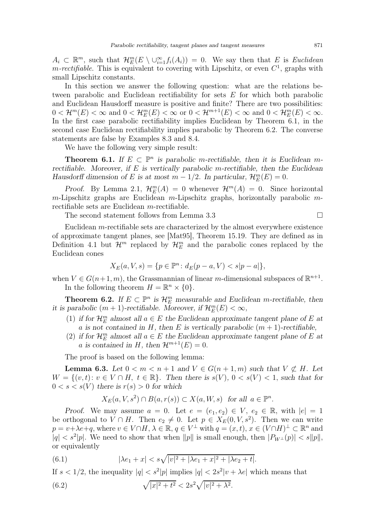$A_i \subset \mathbb{R}^m$ , such that  $\mathcal{H}_E^m(E \setminus \cup_{i=1}^{\infty} f_i(A_i)) = 0$ . We say then that E is Euclidean *m-rectifiable*. This is equivalent to covering with Lipschitz, or even  $C^1$ , graphs with small Lipschitz constants.

In this section we answer the following question: what are the relations between parabolic and Euclidean rectifiability for sets E for which both parabolic and Euclidean Hausdorff measure is positive and finite? There are two possibilities:  $0 < H^m(E) < \infty$  and  $0 < H^m_E(E) < \infty$  or  $0 < H^{m+1}(E) < \infty$  and  $0 < H^m_E(E) < \infty$ . In the first case parabolic rectifiability implies Euclidean by Theorem [6.1,](#page-16-0) in the second case Euclidean rectifiability implies parabolic by Theorem [6.2.](#page-16-1) The converse statements are false by Examples [8.3](#page-25-0) and [8.4.](#page-26-0)

We have the following very simple result:

<span id="page-16-0"></span>**Theorem 6.1.** If  $E \subset \mathbb{P}^n$  is parabolic m-rectifiable, then it is Euclidean mrectifiable. Moreover, if  $E$  is vertically parabolic m-rectifiable, then the Euclidean Hausdorff dimension of E is at most  $m - 1/2$ . In particular,  $\mathcal{H}_E^m(E) = 0$ .

Proof. By Lemma [2.1,](#page-2-1)  $\mathcal{H}_E^m(A) = 0$  whenever  $\mathcal{H}^m(A) = 0$ . Since horizontal  $m$ -Lipschitz graphs are Euclidean  $m$ -Lipschitz graphs, horizontally parabolic  $m$ rectifiable sets are Euclidean m-rectifiable.

The second statement follows from Lemma [3.3](#page-4-1)

Euclidean m-rectifiable sets are characterized by the almost everywhere existence of approximate tangent planes, see [\[Mat95\]](#page-28-13), Theorem 15.19. They are defined as in Definition [4.1](#page-8-4) but  $\mathcal{H}^m$  replaced by  $\mathcal{H}^m_E$  and the parabolic cones replaced by the Euclidean cones

$$
X_E(a, V, s) = \{ p \in \mathbb{P}^n \colon d_E(p - a, V) < s | p - a | \},
$$

when  $V \in G(n+1, m)$ , the Grassmannian of linear m-dimensional subspaces of  $\mathbb{R}^{n+1}$ . In the following theorem  $H = \mathbb{R}^n \times \{0\}.$ 

<span id="page-16-1"></span>**Theorem 6.2.** If  $E \subset \mathbb{P}^n$  is  $\mathcal{H}_E^m$  measurable and Euclidean m-rectifiable, then it is parabolic  $(m + 1)$ -rectifiable. Moreover, if  $\mathcal{H}_E^m(E) < \infty$ ,

- (1) if for  $\mathcal{H}_E^m$  almost all  $a \in E$  the Euclidean approximate tangent plane of E at a is not contained in H, then E is vertically parabolic  $(m + 1)$ -rectifiable,
- (2) if for  $\mathcal{H}_E^m$  almost all  $a \in E$  the Euclidean approximate tangent plane of E at a is contained in H, then  $\mathcal{H}^{m+1}(E) = 0$ .

The proof is based on the following lemma:

<span id="page-16-4"></span>**Lemma 6.3.** Let  $0 < m < n+1$  and  $V \in G(n+1,m)$  such that  $V \not\subset H$ . Let  $W = \{(v, t): v \in V \cap H, t \in \mathbb{R}\}.$  Then there is  $s(V), 0 < s(V) < 1$ , such that for  $0 < s < s(V)$  there is  $r(s) > 0$  for which

<span id="page-16-2"></span>
$$
X_E(a, V, s^2) \cap B(a, r(s)) \subset X(a, W, s) \text{ for all } a \in \mathbb{P}^n.
$$

Proof. We may assume  $a = 0$ . Let  $e = (e_1, e_2) \in V$ ,  $e_2 \in \mathbb{R}$ , with  $|e| = 1$ be orthogonal to  $V \cap H$ . Then  $e_2 \neq 0$ . Let  $p \in X_E(0, V, s^2)$ . Then we can write  $p = v + \lambda e + q$ , where  $v \in V \cap H$ ,  $\lambda \in \mathbb{R}$ ,  $q \in V^{\perp}$  with  $q = (x, t)$ ,  $x \in (V \cap H)^{\perp} \subset \mathbb{R}^n$  and  $|q| < s^2|p|$ . We need to show that when  $||p||$  is small enough, then  $|P_{W^{\perp}}(p)| < s||p||$ , or equivalently

(6.1) 
$$
|\lambda e_1 + x| < s\sqrt{|v|^2 + |\lambda e_1 + x|^2 + |\lambda e_2 + t|}.
$$

If  $s < 1/2$ , the inequality  $|q| < s^2|p|$  implies  $|q| < 2s^2|v + \lambda e|$  which means that

<span id="page-16-3"></span>(6.2) 
$$
\sqrt{|x|^2 + t^2} < 2s^2 \sqrt{|v|^2 + \lambda^2}.
$$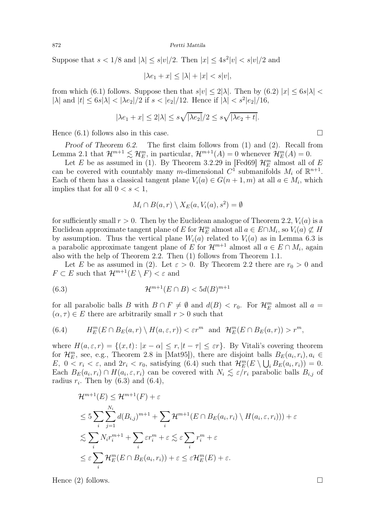Suppose that  $s < 1/8$  and  $|\lambda| \le s|v|/2$ . Then  $|x| \le 4s^2|v| < s|v|/2$  and

$$
|\lambda e_1 + x| \le |\lambda| + |x| < s|v|,
$$

from which [\(6.1\)](#page-16-2) follows. Suppose then that  $s|v| \leq 2|\lambda|$ . Then by [\(6.2\)](#page-16-3)  $|x| \leq 6s|\lambda|$  $|\lambda|$  and  $|t| \le 6s|\lambda| < |\lambda e_2|/2$  if  $s < |e_2|/12$ . Hence if  $|\lambda| < s^2|e_2|/16$ ,

$$
|\lambda e_1 + x| \le 2|\lambda| \le s\sqrt{|\lambda e_2|}/2 \le s\sqrt{|\lambda e_2 + t|}.
$$

Hence  $(6.1)$  follows also in this case.

Proof of Theorem [6.2.](#page-16-1) The first claim follows from (1) and (2). Recall from Lemma [2.1](#page-2-1) that  $\mathcal{H}^{m+1} \lesssim \mathcal{H}_E^m$ , in particular,  $\mathcal{H}^{m+1}(A) = 0$  whenever  $\mathcal{H}_E^m(A) = 0$ .

Let E be as assumed in (1). By Theorem 3.2.29 in [\[Fed69\]](#page-28-11)  $\mathcal{H}_E^m$  almost all of E can be covered with countably many m-dimensional  $C^{\mathfrak{1}}$  submanifolds  $M_i$  of  $\mathbb{R}^{n+1}$ . Each of them has a classical tangent plane  $V_i(a) \in G(n+1,m)$  at all  $a \in M_i$ , which implies that for all  $0 < s < 1$ ,

<span id="page-17-1"></span>
$$
M_i \cap B(a, r) \setminus X_E(a, V_i(a), s^2) = \emptyset
$$

for sufficiently small  $r > 0$ . Then by the Euclidean analogue of Theorem [2.2,](#page-3-1)  $V_i(a)$  is a Euclidean approximate tangent plane of E for  $\mathcal{H}_E^m$  almost all  $a \in E \cap M_i$ , so  $V_i(a) \not\subset H$ by assumption. Thus the vertical plane  $W_i(a)$  related to  $V_i(a)$  as in Lemma [6.3](#page-16-4) is a parabolic approximate tangent plane of E for  $\mathcal{H}^{m+1}$  almost all  $a \in E \cap M_i$ , again also with the help of Theorem [2.2.](#page-3-1) Then (1) follows from Theorem [1.1.](#page-0-4)

Let E be as assumed in (2). Let  $\varepsilon > 0$ . By Theorem [2.2](#page-3-1) there are  $r_0 > 0$  and  $F \subset E$  such that  $\mathcal{H}^{m+1}(E \setminus F) < \varepsilon$  and

(6.3) 
$$
\mathcal{H}^{m+1}(E \cap B) < 5d(B)^{m+1}
$$

for all parabolic balls B with  $B \cap F \neq \emptyset$  and  $d(B) < r_0$ . For  $\mathcal{H}_E^m$  almost all  $a =$  $(\alpha, \tau) \in E$  there are arbitrarily small  $r > 0$  such that

<span id="page-17-0"></span>(6.4) 
$$
H_E^m(E \cap B_E(a,r) \setminus H(a,\varepsilon,r)) < \varepsilon r^m \text{ and } \mathcal{H}_E^m(E \cap B_E(a,r)) > r^m,
$$

where  $H(a, \varepsilon, r) = \{(x, t): |x - \alpha| \le r, |t - \tau| \le \varepsilon r\}$ . By Vitali's covering theorem for  $\mathcal{H}_E^m$ , see, e.g., Theorem 2.8 in [\[Mat95\]](#page-28-13)), there are disjoint balls  $B_E(a_i, r_i)$ ,  $a_i \in$  $E, 0 < r_i < \varepsilon$ , and  $2r_i < r_0$ , satisfying [\(6.4\)](#page-17-0) such that  $\mathcal{H}_E^m(E \setminus \bigcup_i B_E(a_i, r_i)) = 0$ . Each  $B_E(a_i, r_i) \cap H(a_i, \varepsilon, r_i)$  can be covered with  $N_i \leq \varepsilon/r_i$  parabolic balls  $B_{i,j}$  of radius  $r_i$ . Then by  $(6.3)$  and  $(6.4)$ ,

$$
\mathcal{H}^{m+1}(E) \leq \mathcal{H}^{m+1}(F) + \varepsilon
$$
  
\n
$$
\leq 5 \sum_{i} \sum_{j=1}^{N_i} d(B_{i,j})^{m+1} + \sum_{i} \mathcal{H}^{m+1}(E \cap B_E(a_i, r_i) \setminus H(a_i, \varepsilon, r_i))) + \varepsilon
$$
  
\n
$$
\lesssim \sum_{i} N_i r_i^{m+1} + \sum_{i} \varepsilon r_i^m + \varepsilon \lesssim \varepsilon \sum_{i} r_i^m + \varepsilon
$$
  
\n
$$
\leq \varepsilon \sum_{i} \mathcal{H}_E^m(E \cap B_E(a_i, r_i)) + \varepsilon \leq \varepsilon \mathcal{H}_E^m(E) + \varepsilon.
$$

Hence (2) follows.

| ٠ |  |  |
|---|--|--|
|   |  |  |
|   |  |  |
|   |  |  |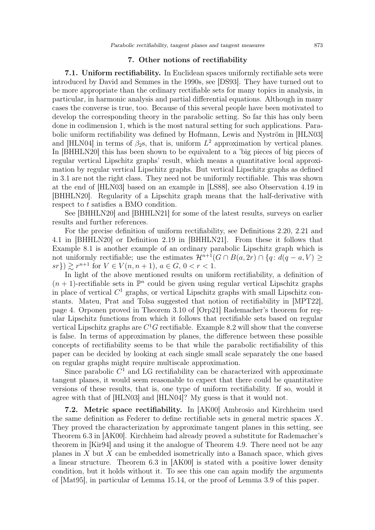# 7. Other notions of rectifiability

<span id="page-18-0"></span>7.1. Uniform rectifiability. In Euclidean spaces uniformly rectifiable sets were introduced by David and Semmes in the 1990s, see [\[DS93\]](#page-28-17). They have turned out to be more appropriate than the ordinary rectifiable sets for many topics in analysis, in particular, in harmonic analysis and partial differential equations. Although in many cases the converse is true, too. Because of this several people have been motivated to develop the corresponding theory in the parabolic setting. So far this has only been done in codimension 1, which is the most natural setting for such applications. Parabolic uniform rectifiability was defined by Hofmann, Lewis and Nyström in [\[HLN03\]](#page-28-5) and [\[HLN04\]](#page-28-6) in terms of  $\beta_2$ s, that is, uniform  $L^2$  approximation by vertical planes. In [\[BHHLN20\]](#page-28-7) this has been shown to be equivalent to a 'big pieces of big pieces of regular vertical Lipschitz graphs' result, which means a quantitative local approximation by regular vertical Lipschitz graphs. But vertical Lipschitz graphs as defined in [3.1](#page-4-4) are not the right class. They need not be uniformly rectifiable. This was shown at the end of [\[HLN03\]](#page-28-5) based on an example in [\[LS88\]](#page-28-9), see also Observation 4.19 in [\[BHHLN20\]](#page-28-7). Regularity of a Lipschitz graph means that the half-derivative with respect to t satisfies a BMO condition.

See [\[BHHLN20\]](#page-28-7) and [\[BHHLN21\]](#page-28-8) for some of the latest results, surveys on earlier results and further references.

For the precise definition of uniform rectifiability, see Definitions 2.20, 2.21 and 4.1 in [\[BHHLN20\]](#page-28-7) or Definition 2.19 in [\[BHHLN21\]](#page-28-8). From these it follows that Example [8.1](#page-20-0) is another example of an ordinary parabolic Lipschitz graph which is not uniformly rectifiable; use the estimates  $\mathcal{H}^{n+1}(G \cap B(a, 2r) \cap \{q : d(q - a, V) \geq$  $sr\}) \gtrsim r^{n+1}$  for  $V \in V(n, n+1)$ ,  $a \in G$ ,  $0 < r < 1$ .

In light of the above mentioned results on uniform rectifiability, a definition of  $(n+1)$ -rectifiable sets in  $\mathbb{P}^n$  could be given using regular vertical Lipschitz graphs in place of vertical  $C^1$  graphs, or vertical Lipschitz graphs with small Lipschitz constants. Mateu, Prat and Tolsa suggested that notion of rectifiability in [\[MPT22\]](#page-28-18), page 4. Orponen proved in Theorem 3.10 of [\[Orp21\]](#page-29-3) Rademacher's theorem for regular Lipschitz functions from which it follows that rectifiable sets based on regular vertical Lipschitz graphs are  $C<sup>1</sup>G$  rectifiable. Example [8.2](#page-21-0) will show that the converse is false. In terms of approximation by planes, the difference between these possible concepts of rectifiability seems to be that while the parabolic rectifiability of this paper can be decided by looking at each single small scale separately the one based on regular graphs might require multiscale approximation.

Since parabolic  $C^1$  and LG rectifiability can be characterized with approximate tangent planes, it would seem reasonable to expect that there could be quantitative versions of these results, that is, one type of uniform rectifiability. If so, would it agree with that of [\[HLN03\]](#page-28-5) and [\[HLN04\]](#page-28-6)? My guess is that it would not.

7.2. Metric space rectifiability. In [\[AK00\]](#page-27-0) Ambrosio and Kirchheim used the same definition as Federer to define rectifiable sets in general metric spaces X. They proved the characterization by approximate tangent planes in this setting, see Theorem 6.3 in [\[AK00\]](#page-27-0). Kirchheim had already proved a substitute for Rademacher's theorem in [\[Kir94\]](#page-28-16) and using it the analogue of Theorem [4.9.](#page-11-1) There need not be any planes in  $X$  but  $X$  can be embedded isometrically into a Banach space, which gives a linear structure. Theorem 6.3 in [\[AK00\]](#page-27-0) is stated with a positive lower density condition, but it holds without it. To see this one can again modify the arguments of [\[Mat95\]](#page-28-13), in particular of Lemma 15.14, or the proof of Lemma [3.9](#page-6-3) of this paper.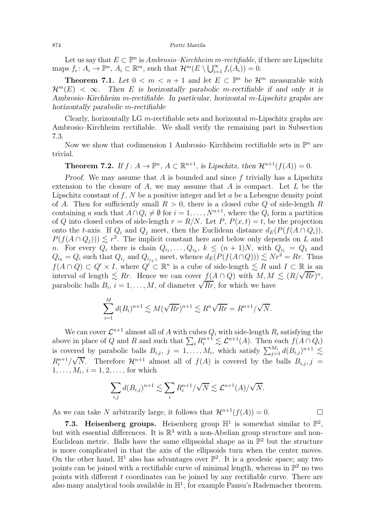Let us say that  $E \subset \mathbb{P}^n$  is Ambrosio–Kirchheim m-rectifiable, if there are Lipschitz maps  $f_i: A_i \to \mathbb{P}^n$ ,  $A_i \subset \mathbb{R}^m$ , such that  $\mathcal{H}^m(E \setminus \bigcup_{i=1}^{\infty} f_i(A_i)) = 0$ .

<span id="page-19-1"></span>**Theorem 7.1.** Let  $0 < m < n + 1$  and let  $E \subset \mathbb{P}^n$  be  $\mathcal{H}^m$  measurable with  $\mathcal{H}^m(E) < \infty$ . Then E is horizontally parabolic m-rectifiable if and only it is Ambrosio–Kirchheim m-rectifiable. In particular, horizontal m-Lipschitz graphs are horizontally parabolic m-rectifiable

Clearly, horizontally LG m-rectifiable sets and horizontal m-Lipschitz graphs are Ambrosio–Kirchheim rectifiable. We shall verify the remaining part in Subsection 7.3.

Now we show that codimension 1 Ambrosio–Kirchheim rectifiable sets in  $\mathbb{P}^n$  are trivial.

<span id="page-19-0"></span>**Theorem 7.2.** If  $f: A \to \mathbb{P}^n$ ,  $A \subset \mathbb{R}^{n+1}$ , is Lipschitz, then  $\mathcal{H}^{n+1}(f(A)) = 0$ .

Proof. We may assume that A is bounded and since  $f$  trivially has a Lipschitz extension to the closure of A, we may assume that A is compact. Let  $L$  be the Lipschitz constant of  $f, N$  be a positive integer and let  $a$  be a Lebesgue density point of A. Then for sufficiently small  $R > 0$ , there is a closed cube Q of side-length R containing a such that  $A \cap Q_i \neq \emptyset$  for  $i = 1, ..., N^{n+1}$ , where the  $Q_i$  form a partition of Q into closed cubes of side-length  $r = R/N$ . Let P,  $P(x, t) = t$ , be the projection onto the t-axis. If  $Q_i$  and  $Q_j$  meet, then the Euclidean distance  $d_E(P(f(A \cap Q_i)),$  $P(f(A \cap Q_j))) \leq r^2$ . The implicit constant here and below only depends on L and n. For every  $Q_i$  there is chain  $Q_{i_1}, \ldots, Q_{i_k}$ ,  $k \leq (n+1)N$ , with  $Q_{i_1} = Q_1$  and  $Q_{i_k} = Q_i$  such that  $Q_{i_j}$  and  $Q_{i_{j+1}}$  meet, whence  $d_E(P(f(A \cap Q))) \lesssim Nr^2 = Rr$ . Thus  $f(A \cap Q) \subset Q' \times I$ , where  $Q' \subset \mathbb{R}^n$  is a cube of side-length  $\leq R$  and  $I \subset \mathbb{R}$  is an interval of length  $\lesssim Rr$ . Hence we can cover  $f(A \cap Q)$  with  $M, M \lesssim (R/\sqrt{Rr})^n$ , parabolic balls  $B_i$ ,  $i = 1, ..., M$ , of diameter  $\sqrt{R_r}$ , for which we have

$$
\sum_{i=1}^{M} d(B_i)^{n+1} \lesssim M(\sqrt{Rr})^{n+1} \lesssim R^n \sqrt{Rr} = R^{n+1}/\sqrt{N}.
$$

We can cover  $\mathcal{L}^{n+1}$  almost all of A with cubes  $Q_i$  with side-length  $R_i$  satisfying the above in place of Q and R and such that  $\sum_i R_i^{n+1} \lesssim \mathcal{L}^{n+1}(A)$ . Then each  $f(A \cap Q_i)$ is covered by parabolic balls  $B_{i,j}$ ,  $j = 1, ..., M_i$ , which satisfy  $\sum_{j=1}^{M_i} d(B_{i,j})^{n+1} \lesssim$  $R_i^{n+1}/\sqrt{N}$ . Therefore  $\mathcal{H}^{n+1}$  almost all of  $f(A)$  is covered by the balls  $B_{i,j}, j =$  $1, \ldots, M_i, i = 1, 2, \ldots$ , for which

$$
\sum_{i,j} d(B_{i,j})^{n+1} \lesssim \sum_i R_i^{n+1} / \sqrt{N} \lesssim \mathcal{L}^{n+1}(A) / \sqrt{N}.
$$

As we can take N arbitrarily large, it follows that  $\mathcal{H}^{n+1}(f(A)) = 0$ .

 $\ddotsc$ 

7.3. Heisenberg groups. Heisenberg group  $\mathbb{H}^1$  is somewhat similar to  $\mathbb{P}^2$ , but with essential differences. It is  $\mathbb{R}^3$  with a non-Abelian group structure and non-Euclidean metric. Balls have the same ellipsoidal shape as in  $\mathbb{P}^2$  but the structure is more complicated in that the axis of the ellipsoids turn when the center moves. On the other hand,  $\mathbb{H}^1$  also has advantages over  $\mathbb{P}^2$ . It is a geodesic space; any two points can be joined with a rectifiable curve of minimal length, whereas in  $\mathbb{P}^2$  no two points with different  $t$  coordinates can be joined by any rectifiable curve. There are also many analytical tools available in  $\mathbb{H}^1$ , for example Pansu's Rademacher theorem.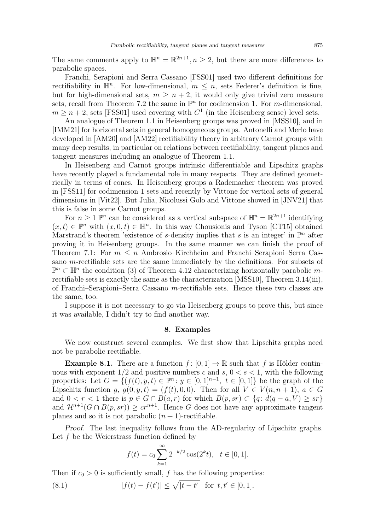The same comments apply to  $\mathbb{H}^n = \mathbb{R}^{2n+1}, n \geq 2$ , but there are more differences to parabolic spaces.

Franchi, Serapioni and Serra Cassano [\[FSS01\]](#page-28-2) used two different definitions for rectifiability in  $\mathbb{H}^n$ . For low-dimensional,  $m \leq n$ , sets Federer's definition is fine, but for high-dimensional sets,  $m \geq n+2$ , it would only give trivial zero measure sets, recall from Theorem [7.2](#page-19-0) the same in  $\mathbb{P}^n$  for codimension 1. For m-dimensional,  $m \geq n+2$ , sets [\[FSS01\]](#page-28-2) used covering with  $C^1$  (in the Heisenberg sense) level sets.

An analogue of Theorem [1.1](#page-0-4) in Heisenberg groups was proved in [\[MSS10\]](#page-28-3), and in [\[IMM21\]](#page-28-4) for horizontal sets in general homogeneous groups. Antonelli and Merlo have developed in [\[AM20\]](#page-27-3) and [\[AM22\]](#page-27-1) rectifiability theory in arbitrary Carnot groups with many deep results, in particular on relations between rectifiability, tangent planes and tangent measures including an analogue of Theorem [1.1.](#page-0-4)

In Heisenberg and Carnot groups intrinsic differentiable and Lipschitz graphs have recently played a fundamental role in many respects. They are defined geometrically in terms of cones. In Heisenberg groups a Rademacher theorem was proved in [\[FSS11\]](#page-28-19) for codimension 1 sets and recently by Vittone for vertical sets of general dimensions in [\[Vit22\]](#page-29-4). But Julia, Nicolussi Golo and Vittone showed in [\[JNV21\]](#page-28-10) that this is false in some Carnot groups.

For  $n \geq 1$   $\mathbb{P}^n$  can be considered as a vertical subspace of  $\mathbb{H}^n = \mathbb{R}^{2n+1}$  identifying  $(x, t) \in \mathbb{P}^n$  with  $(x, 0, t) \in \mathbb{H}^n$ . In this way Chousionis and Tyson [\[CT15\]](#page-28-20) obtained Marstrand's theorem 'existence of s-density implies that s is an integer' in  $\mathbb{P}^n$  after proving it in Heisenberg groups. In the same manner we can finish the proof of Theorem [7.1:](#page-19-1) For  $m \leq n$  Ambrosio–Kirchheim and Franchi–Serapioni–Serra Cassano m-rectifiable sets are the same immediately by the definitions. For subsets of  $\mathbb{P}^n \subset \mathbb{H}^n$  the condition (3) of Theorem [4.12](#page-12-3) characterizing horizontally parabolic mrectifiable sets is exactly the same as the characterization [\[MSS10\]](#page-28-3), Theorem 3.14(iii), of Franchi–Serapioni–Serra Cassano m-rectifiable sets. Hence these two classes are the same, too.

<span id="page-20-1"></span>I suppose it is not necessary to go via Heisenberg groups to prove this, but since it was available, I didn't try to find another way.

# 8. Examples

We now construct several examples. We first show that Lipschitz graphs need not be parabolic rectifiable.

<span id="page-20-0"></span>**Example 8.1.** There are a function  $f : [0,1] \to \mathbb{R}$  such that f is Hölder continuous with exponent  $1/2$  and positive numbers c and s,  $0 < s < 1$ , with the following properties: Let  $G = \{ (f(t), y, t) \in \mathbb{P}^n : y \in [0, 1]^{n-1}, t \in [0, 1] \}$  be the graph of the Lipschitz function g,  $g(0, y, t) = (f(t), 0, 0)$ . Then for all  $V \in V(n, n + 1)$ ,  $a \in G$ and  $0 < r < 1$  there is  $p \in G \cap B(a,r)$  for which  $B(p, sr) \subset \{q : d(q - a, V) \geq sr\}$ and  $\mathcal{H}^{n+1}(G \cap B(p, sr)) > cr^{n+1}$ . Hence G does not have any approximate tangent planes and so it is not parabolic  $(n + 1)$ -rectifiable.

Proof. The last inequality follows from the AD-regularity of Lipschitz graphs. Let  $f$  be the Weierstrass function defined by

<span id="page-20-2"></span>
$$
f(t) = c_0 \sum_{k=1}^{\infty} 2^{-k/2} \cos(2^k t), \quad t \in [0, 1].
$$

Then if  $c_0 > 0$  is sufficiently small, f has the following properties:

(8.1) 
$$
|f(t) - f(t')| \le \sqrt{|t - t'|} \text{ for } t, t' \in [0, 1],
$$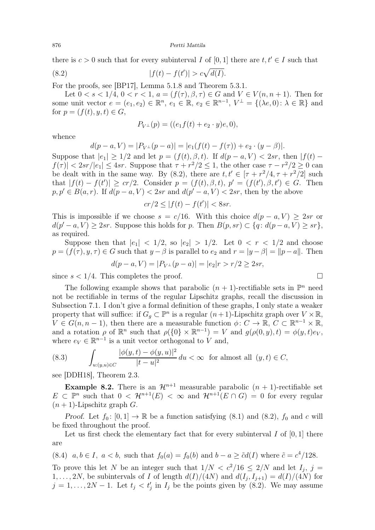there is  $c > 0$  such that for every subinterval I of [0, 1] there are  $t, t' \in I$  such that

(8.2) 
$$
|f(t) - f(t')| > c\sqrt{d(I)}.
$$

For the proofs, see [\[BP17\]](#page-28-21), Lemma 5.1.8 and Theorem 5.3.1.

Let  $0 < s < 1/4$ ,  $0 < r < 1$ ,  $a = (f(\tau), \beta, \tau) \in G$  and  $V \in V(n, n + 1)$ . Then for some unit vector  $e = (e_1, e_2) \in \mathbb{R}^n$ ,  $e_1 \in \mathbb{R}$ ,  $e_2 \in \mathbb{R}^{n-1}$ ,  $V^{\perp} = \{ (\lambda e, 0) : \lambda \in \mathbb{R} \}$  and for  $p = (f(t), y, t) \in G$ ,

<span id="page-21-1"></span>
$$
P_{V^{\perp}}(p) = ((e_1 f(t) + e_2 \cdot y)e, 0),
$$

whence

$$
d(p-a, V) = |P_{V^{\perp}}(p-a)| = |e_1(f(t) - f(\tau)) + e_2 \cdot (y - \beta)|.
$$

Suppose that  $|e_1| > 1/2$  and let  $p = (f(t), \beta, t)$ . If  $d(p - a, V) < 2sr$ , then  $|f(t) |f(\tau)| < 2sr/|e_1| \leq 4sr$ . Suppose that  $\tau + r^2/2 \leq 1$ , the other case  $\tau - r^2/2 \geq 0$  can be dealt with in the same way. By [\(8.2\)](#page-21-1), there are  $t, t' \in [\tau + r^2/4, \tau + r^2/2]$  such that  $|f(t) - f(t')| \geq cr/2$ . Consider  $p = (f(t), \beta, t), p' = (f(t'), \beta, t') \in G$ . Then  $p, p' \in B(a, r)$ . If  $d(p - a, V) < 2sr$  and  $d(p' - a, V) < 2sr$ , then by the above

$$
cr/2 \le |f(t) - f(t')| < 8sr.
$$

This is impossible if we choose  $s = c/16$ . With this choice  $d(p - a, V) \geq 2sr$  or  $d(p'-a, V) \geq 2sr$ . Suppose this holds for p. Then  $B(p, sr) \subset \{q: d(p-a, V) \geq sr\},\$ as required.

Suppose then that  $|e_1| < 1/2$ , so  $|e_2| > 1/2$ . Let  $0 < r < 1/2$  and choose  $p = (f(\tau), y, \tau) \in G$  such that  $y - \beta$  is parallel to  $e_2$  and  $r = |y - \beta| = ||p - a||$ . Then

$$
d(p - a, V) = |P_{V^{\perp}}(p - a)| = |e_2|r > r/2 \ge 2sr,
$$

since  $s < 1/4$ . This completes the proof.

The following example shows that parabolic  $(n + 1)$ -rectifiable sets in  $\mathbb{P}^n$  need not be rectifiable in terms of the regular Lipschitz graphs, recall the discussion in Subsection 7.1. I don't give a formal definition of these graphs, I only state a weaker property that will suffice: if  $G_g \subset \mathbb{P}^n$  is a regular  $(n+1)$ -Lipschitz graph over  $V \times \mathbb{R}$ ,  $V \in G(n, n-1)$ , then there are a measurable function  $\phi: C \to \mathbb{R}, C \subset \mathbb{R}^{n-1} \times \mathbb{R}$ , and a rotation  $\rho$  of  $\mathbb{R}^n$  such that  $\rho(\{0\} \times \mathbb{R}^{n-1}) = V$  and  $g(\rho(0, y), t) = \phi(y, t)e_V$ , where  $e_V \in \mathbb{R}^{n-1}$  is a unit vector orthogonal to  $\hat{V}$  and,

<span id="page-21-3"></span>(8.3) 
$$
\int_{u:(y,u)\in C} \frac{|\phi(y,t) - \phi(y,u)|^2}{|t-u|^2} du < \infty \quad \text{for almost all } (y,t) \in C,
$$

see [\[DDH18\]](#page-28-22), Theorem 2.3.

<span id="page-21-0"></span>**Example 8.2.** There is an  $\mathcal{H}^{n+1}$  measurable parabolic  $(n + 1)$ -rectifiable set  $E \subset \mathbb{P}^n$  such that  $0 \leq \mathcal{H}^{n+1}(E) < \infty$  and  $\mathcal{H}^{n+1}(E \cap G) = 0$  for every regular  $(n + 1)$ -Lipschitz graph G.

Proof. Let  $f_0: [0, 1] \to \mathbb{R}$  be a function satisfying [\(8.1\)](#page-20-2) and [\(8.2\)](#page-21-1),  $f_0$  and c will be fixed throughout the proof.

Let us first check the elementary fact that for every subinterval  $I$  of  $[0, 1]$  there are

<span id="page-21-2"></span>(8.4)  $a, b \in I$ ,  $a < b$ , such that  $f_0(a) = f_0(b)$  and  $b - a \geq \tilde{c}d(I)$  where  $\tilde{c} = c^4/128$ .

To prove this let N be an integer such that  $1/N < c^2/16 \leq 2/N$  and let  $I_j$ ,  $j =$  $1, \ldots, 2N$ , be subintervals of I of length  $d(I)/(4N)$  and  $d(I_j, I_{j+1}) = d(I)/(4N)$  for  $j = 1, \ldots, 2N - 1$ . Let  $t_j < t'_j$  in  $I_j$  be the points given by [\(8.2\)](#page-21-1). We may assume

$$
\qquad \qquad \Box
$$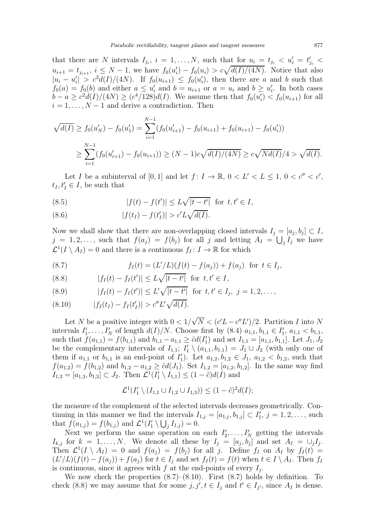that there are N intervals  $I_{j_i}$ ,  $i = 1, ..., N$ , such that for  $u_i = t_{j_i} < u'_i = t'_{j_i}$  $u_{i+1} = t_{i_{i+1}}, i \leq N-1$ , we have  $f_0(u_i') - f_0(u_i) > c\sqrt{d(I)/(4N)}$ . Notice that also  $|u_i - u'_i| > c^2 d(I)/(4N)$ . If  $f_0(u_{i+1}) \leq f_0(u'_i)$ , then there are a and b such that  $f_0(a) = f_0(b)$  and either  $a \leq u'_i$  and  $b = u_{i+1}$  or  $a = u_i$  and  $b \geq u'_i$ . In both cases  $b - a \geq c^2 d(I)/(4N) \geq (c^4/128)d(I)$ . We assume then that  $f_0(u'_i) < f_0(u_{i+1})$  for all  $i = 1, \ldots, N - 1$  and derive a contradiction. Then

$$
\sqrt{d(I)} \ge f_0(u'_{N}) - f_0(u'_1) = \sum_{i=1}^{N-1} (f_0(u'_{i+1}) - f_0(u_{i+1}) + f_0(u_{i+1}) - f_0(u'_i))
$$
  

$$
\ge \sum_{i=1}^{N-1} (f_0(u'_{i+1}) - f_0(u_{i+1})) \ge (N-1)c\sqrt{d(I)/(4N)} \ge c\sqrt{Nd(I)}/4 > \sqrt{d(I)}.
$$

Let I be a subinterval of  $[0,1]$  and let  $f: I \to \mathbb{R}$ ,  $0 < L' < L \leq 1$ ,  $0 < c'' < c'$ ,  $t_I, t_I' \in I$ , be such that

<span id="page-22-3"></span>(8.5) 
$$
|f(t) - f(t')| \le L\sqrt{|t - t'|}
$$
 for  $t, t' \in I$ ,

<span id="page-22-5"></span>(8.6) 
$$
|f(t_I) - f(t'_I)| > c'L\sqrt{d(I)}.
$$

Now we shall show that there are non-overlapping closed intervals  $I_j = [a_j, b_j] \subset I$ ,  $j = 1, 2, \ldots$ , such that  $f(a_j) = f(b_j)$  for all j and letting  $A_I = \bigcup_j I_j$  we have  $\mathcal{L}^1(I \setminus A_I) = 0$  and there is a continuous  $f_I: I \to \mathbb{R}$  for which

<span id="page-22-0"></span>(8.7) 
$$
f_I(t) = (L'/L)(f(t) - f(a_j)) + f(a_j) \text{ for } t \in I_j,
$$

<span id="page-22-2"></span>(8.8) 
$$
|f_I(t) - f_I(t')| \le L\sqrt{|t - t'|}
$$
 for  $t, t' \in I$ ,

<span id="page-22-4"></span>(8.9) 
$$
|f_I(t) - f_I(t')| \le L'\sqrt{|t - t'|} \text{ for } t, t' \in I_j, j = 1, 2, ...,
$$

<span id="page-22-1"></span>
$$
(8.10) \t |f_I(t_I) - f_I(t'_I)| > c''L'\sqrt{d(I)}.
$$

Let N be a positive integer with  $0 < 1/\sqrt{N} < (c'L - c''L')/2$ . Partition I into N intervals  $I'_1, \ldots, I'_N$  of length  $d(I)/N$ . Choose first by  $(8.4)$   $a_{1,1}, b_{1,1} \in I'_1$ ,  $a_{1,1} < b_{1,1}$ , such that  $f(a_{1,1}) = f(b_{1,1})$  and  $b_{1,1} - a_{1,1} \geq \tilde{c}d(I'_1)$  and set  $I_{1,1} = [a_{1,1}, b_{1,1}]$ . Let  $J_1, J_2$ be the complementary intervals of  $I_{1,1}$ ;  $I'_1 \setminus (a_{1,1}, b_{1,1}) = J_1 \cup J_2$  (with only one of them if  $a_{1,1}$  or  $b_{1,1}$  is an end-point of  $I'_1$ ). Let  $a_{1,2}, b_{1,2} \in J_1$ ,  $a_{1,2} < b_{1,2}$ , such that  $f(a_{1,2}) = f(b_{1,2})$  and  $b_{1,2} - a_{1,2} \geq \tilde{c}d(J_1)$ . Set  $I_{1,2} = [a_{1,2}, b_{1,2}]$ . In the same way find  $I_{1,3} = [a_{1,3}, b_{1,3}] \subset J_2$ . Then  $\mathcal{L}^1(I'_1 \setminus I_{1,1}) \leq (1 - \tilde{c})d(I)$  and

$$
\mathcal{L}^1(I'_1 \setminus (I_{1,1} \cup I_{1,2} \cup I_{1,3})) \le (1 - \tilde{c})^2 d(I);
$$

the measure of the complement of the selected intervals decreases geometrically. Continuing in this manner we find the intervals  $I_{1,j} = [a_{1,j}, b_{1,j}] \subset I'_1$ ,  $j = 1, 2, \ldots$ , such that  $f(a_{1,j}) = f(b_{1,j})$  and  $\mathcal{L}^1(I'_1 \setminus \bigcup_j I_{1,j}) = 0$ .

Next we perform the same operation on each  $I'_2, \ldots, I'_N$  getting the intervals  $I_{k,j}$  for  $k = 1, \ldots, N$ . We denote all these by  $I_j = [a_j, b_j]$  and set  $A_I = \bigcup_j I_j$ . Then  $\mathcal{L}^1(I \setminus A_I) = 0$  and  $f(a_j) = f(b_j)$  for all j. Define  $f_I$  on  $A_I$  by  $f_I(t) =$  $(L'/L)(f(t) - f(a_j)) + f(a_j)$  for  $t \in I_j$  and set  $f_I(t) = f(t)$  when  $t \in I \setminus A_I$ . Then  $f_I$ is continuous, since it agrees with  $f$  at the end-points of every  $I_j$ .

We now check the properties  $(8.7)$ – $(8.10)$ . First  $(8.7)$  holds by definition. To check [\(8.8\)](#page-22-2) we may assume that for some  $j, j', t \in I_j$  and  $t' \in I_{j'}$ , since  $A_I$  is dense.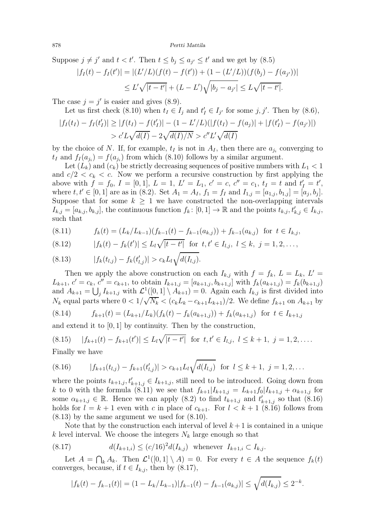Suppose  $j \neq j'$  and  $t < t'$ . Then  $t \leq b_j \leq a_{j'} \leq t'$  and we get by  $(8.5)$ 

$$
|f_I(t) - f_I(t')| = |(L'/L)(f(t) - f(t')) + (1 - (L'/L))(f(b_j) - f(a_{j'}))|
$$
  
 
$$
\leq L'\sqrt{|t - t'|} + (L - L')\sqrt{|b_j - a_{j'}|} \leq L\sqrt{|t - t'|}.
$$

The case  $j = j'$  is easier and gives  $(8.9)$ .

Let us first check (8.10) when 
$$
t_I \in I_j
$$
 and  $t'_I \in I_{j'}$  for some j, j'. Then by (8.6),

$$
|f_I(t_I) - f_I(t_I')| \ge |f(t_I) - f(t_I')| - (1 - L'/L)(|f(t_I) - f(a_j)| + |f(t_I') - f(a_{j'})|)
$$
  
>  $c'L\sqrt{d(I)} - 2\sqrt{d(I)/N} > c''L'\sqrt{d(I)}$ 

by the choice of N. If, for example,  $t_I$  is not in  $A_I$ , then there are  $a_{j_i}$  converging to  $t_I$  and  $f_I(a_{j_i}) = f(a_{j_i})$  from which [\(8.10\)](#page-22-1) follows by a similar argument.

Let  $(L_k)$  and  $(c_k)$  be strictly decreasing sequences of positive numbers with  $L_1 < 1$ and  $c/2 < c_k < c$ . Now we perform a recursive construction by first applying the above with  $f = f_0$ ,  $I = [0, 1]$ ,  $L = 1$ ,  $L' = L_1$ ,  $c' = c$ ,  $c'' = c_1$ ,  $t_I = t$  and  $t'_I = t'$ , where  $t, t' \in [0, 1]$  are as in [\(8.2\)](#page-21-1). Set  $A_1 = A_I$ ,  $f_1 = f_I$  and  $I_{1,j} = [a_{1,j}, b_{1,j}] = [a_j, b_j]$ . Suppose that for some  $k \geq 1$  we have constructed the non-overlapping intervals  $I_{k,j} = [a_{k,j}, b_{k,j}]$ , the continuous function  $f_k: [0, 1] \to \mathbb{R}$  and the points  $t_{k,j}, t'_{k,j} \in I_{k,j}$ , such that

<span id="page-23-0"></span>
$$
(8.11) \t fk(t) = (Lk/Lk-1)(fk-1(t) - fk-1(ak,j)) + fk-1(ak,j) for t \in Ik,j,
$$

$$
(8.12) \t |f_k(t) - f_k(t')| \le L_l \sqrt{|t - t'|} \t for t, t' \in I_{l,j}, l \le k, j = 1, 2, ...,
$$

<span id="page-23-2"></span>(8.13) 
$$
|f_k(t_{l,j}) - f_k(t'_{l,j})| > c_k L_l \sqrt{d(I_{l,j})}.
$$

Then we apply the above construction on each  $I_{k,j}$  with  $f = f_k$ ,  $L = L_k$ ,  $L' =$  $L_{k+1}, c' = c_k, c'' = c_{k+1}$ , to obtain  $I_{k+1,j} = [a_{k+1,j}, b_{k+1,j}]$  with  $f_k(a_{k+1,j}) = f_k(b_{k+1,j})$ and  $A_{k+1} = \bigcup_j I_{k+1,j}$  with  $\mathcal{L}^1([0,1] \setminus A_{k+1}) = 0$ . Again each  $I_{k,j}$  is first divided into  $N_k$  equal parts where  $0 < 1/\sqrt{N_k} < (c_k L_k - c_{k+1} L_{k+1})/2$ . We define  $f_{k+1}$  on  $A_{k+1}$  by (8.14)  $f_{k+1}(t) = (L_{k+1}/L_k)(f_k(t) - f_k(a_{k+1,j})) + f_k(a_{k+1,j})$  for  $t \in I_{k+1,j}$ 

and extend it to [0, 1] by continuity. Then by the construction,

<span id="page-23-4"></span>(8.15) 
$$
|f_{k+1}(t) - f_{k+1}(t')| \le L_l \sqrt{|t - t'|}
$$
 for  $t, t' \in I_{l,j}, l \le k+1, j = 1, 2, ...$   
Finally we have

Finally we have

<span id="page-23-1"></span>
$$
(8.16) \t |f_{k+1}(t_{l,j}) - f_{k+1}(t'_{l,j})| > c_{k+1}L_l\sqrt{d(I_{l,j})} \t for l \leq k+1, j = 1, 2, ...
$$

where the points  $t_{k+1,j}, t'_{k+1,j} \in I_{k+1,j}$ , still need to be introduced. Going down from k to 0 with the formula [\(8.11\)](#page-23-0) we see that  $f_{k+1}|I_{k+1,j} = L_{k+1}f_0|I_{k+1,j} + \alpha_{k+1,j}$  for some  $\alpha_{k+1,j} \in \mathbb{R}$ . Hence we can apply [\(8.2\)](#page-21-1) to find  $t_{k+1,j}$  and  $t'_{k+1,j}$  so that [\(8.16\)](#page-23-1) holds for  $l = k + 1$  even with c in place of  $c_{k+1}$ . For  $l < k + 1$  [\(8.16\)](#page-23-1) follows from  $(8.13)$  by the same argument we used for  $(8.10)$ .

Note that by the construction each interval of level  $k+1$  is contained in a unique k level interval. We choose the integers  $N_k$  large enough so that

(8.17) 
$$
d(I_{k+1,i}) \le (c/16)^2 d(I_{k,j}) \text{ whenever } I_{k+1,i} \subset I_{k,j}.
$$

Let  $A = \bigcap_k A_k$ . Then  $\mathcal{L}^1([0,1] \setminus A) = 0$ . For every  $t \in A$  the sequence  $f_k(t)$ converges, because, if  $t \in I_{k,j}$ , then by [\(8.17\)](#page-23-3),

<span id="page-23-3"></span>
$$
|f_k(t) - f_{k-1}(t)| = (1 - L_k/L_{k-1})|f_{k-1}(t) - f_{k-1}(a_{k,j})| \le \sqrt{d(I_{k,j})} \le 2^{-k}.
$$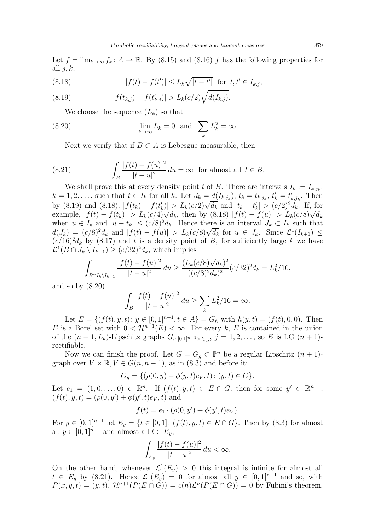Let  $f = \lim_{k \to \infty} f_k : A \to \mathbb{R}$ . By [\(8.15\)](#page-23-4) and [\(8.16\)](#page-23-1) f has the following properties for all  $i, k$ ,

<span id="page-24-1"></span>(8.18) 
$$
|f(t) - f(t')| \le L_k \sqrt{|t - t'|} \text{ for } t, t' \in I_{k,j},
$$

<span id="page-24-0"></span>(8.19) 
$$
|f(t_{k,j}) - f(t'_{k,j})| > L_k(c/2)\sqrt{d(I_{k,j})}.
$$

<span id="page-24-2"></span>We choose the sequence  $(L_k)$  so that

(8.20) 
$$
\lim_{k \to \infty} L_k = 0 \text{ and } \sum_k L_k^2 = \infty.
$$

<span id="page-24-3"></span>Next we verify that if  $B \subset A$  is Lebesgue measurable, then

(8.21) 
$$
\int_{B} \frac{|f(t) - f(u)|^2}{|t - u|^2} du = \infty \text{ for almost all } t \in B.
$$

We shall prove this at every density point t of B. There are intervals  $I_k := I_{k,j_k}$ ,  $k = 1, 2, \ldots$ , such that  $t \in I_k$  for all k. Let  $d_k = \underline{d}(I_{k,j_k})$ ,  $t_k = t_{k,j_k}$ ,  $t'_k = t'_{k,j_k}$ . Then by [\(8.19\)](#page-24-0) and [\(8.18\)](#page-24-1),  $|f(t_k) - f(t'_k)| \ge L_k(c/2)\sqrt{d_k}$  and  $|t_k - t'_k| > (c/2)^2 d_k$ . If, for example,  $|f(t) - f(t_k)| > L_k(c/4)\sqrt{d_k}$ , then by [\(8.18\)](#page-24-1)  $|f(t) - f(u)| > L_k(c/8)\sqrt{d_k}$ when  $u \in I_k$  and  $|u - t_k| \leq (c/8)^2 d_k$ . Hence there is an interval  $J_k \subset I_k$  such that  $d(J_k) = (c/8)^2 d_k$  and  $|f(t) - f(u)| > L_k(c/8)\sqrt{d_k}$  for  $u \in J_k$ . Since  $\mathcal{L}^1(I_{k+1}) \leq$  $(c/16)^2d_k$  by [\(8.17\)](#page-23-3) and t is a density point of B, for sufficiently large k we have  $\mathcal{L}^1(B \cap J_k \setminus I_{k+1}) \ge (c/32)^2 d_k$ , which implies

$$
\int_{B \cap I_k \setminus I_{k+1}} \frac{|f(t) - f(u)|^2}{|t - u|^2} du \ge \frac{(L_k(c/8)\sqrt{d_k})^2}{((c/8)^2 d_k)^2} (c/32)^2 d_k = L_k^2/16,
$$

and so by [\(8.20\)](#page-24-2)

$$
\int_{B} \frac{|f(t) - f(u)|^2}{|t - u|^2} du \ge \sum_{k} L_k^2 / 16 = \infty.
$$

Let  $E = \{(f(t), y, t): y \in [0, 1]^{n-1}, t \in A\} = G_h$  with  $h(y, t) = (f(t), 0, 0)$ . Then E is a Borel set with  $0 < H^{n+1}(E) < \infty$ . For every k, E is contained in the union of the  $(n + 1, L_k)$ -Lipschitz graphs  $G_{h|[0,1]^{n-1} \times I_{k,j}}, j = 1, 2, ...,$  so E is LG  $(n + 1)$ rectifiable.

Now we can finish the proof. Let  $G = G_g \subset \mathbb{P}^n$  be a regular Lipschitz  $(n + 1)$ graph over  $V \times \mathbb{R}, V \in G(n, n-1)$ , as in [\(8.3\)](#page-21-3) and before it:

$$
G_g = \{ (\rho(0, y) + \phi(y, t)e_V, t) : (y, t) \in C \}.
$$

Let  $e_1 = (1, 0, \ldots, 0) \in \mathbb{R}^n$ . If  $(f(t), y, t) \in E \cap G$ , then for some  $y' \in \mathbb{R}^{n-1}$ ,  $(f(t), y, t) = (\rho(0, y') + \phi(y', t)e_V, t)$  and

$$
f(t) = e_1 \cdot (\rho(0, y') + \phi(y', t)e_V).
$$

For  $y \in [0,1]^{n-1}$  let  $E_y = \{t \in [0,1] : (f(t), y, t) \in E \cap G\}$ . Then by  $(8.3)$  for almost all  $y \in [0, 1]^{n-1}$  and almost all  $t \in E_y$ ,

$$
\int_{E_y} \frac{|f(t) - f(u)|^2}{|t - u|^2} du < \infty.
$$

On the other hand, whenever  $\mathcal{L}^1(E_y) > 0$  this integral is infinite for almost all  $t \in E_y$  by [\(8.21\)](#page-24-3). Hence  $\mathcal{L}^1(E_y) = 0$  for almost all  $y \in [0,1]^{n-1}$  and so, with  $P(x, y, t) = (y, t), \mathcal{H}^{n+1}(P(E \cap G)) = c(n)\mathcal{L}^n(P(E \cap G)) = 0$  by Fubini's theorem.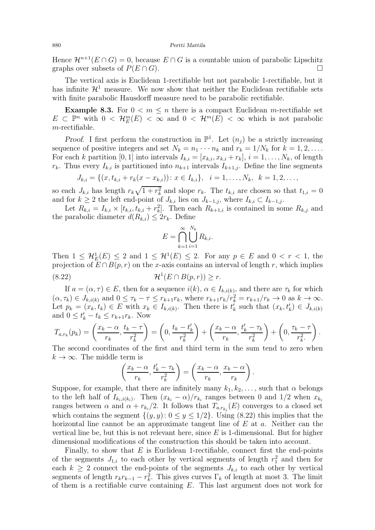Hence  $\mathcal{H}^{n+1}(E \cap G) = 0$ , because  $E \cap G$  is a countable union of parabolic Lipschitz graphs over subsets of  $P(E \cap G)$ graphs over subsets of  $P(E \cap G)$ .

The vertical axis is Euclidean 1-rectifiable but not parabolic 1-rectifiable, but it has infinite  $\mathcal{H}^1$  measure. We now show that neither the Euclidean rectifiable sets with finite parabolic Hausdorff measure need to be parabolic rectifiable.

<span id="page-25-0"></span>**Example 8.3.** For  $0 < m \leq n$  there is a compact Euclidean m-rectifiable set  $E \subset \mathbb{P}^n$  with  $0 \lt \mathcal{H}_E^m(E) \lt \infty$  and  $0 \lt \mathcal{H}^m(E) \lt \infty$  which is not parabolic  $m$ -rectifiable.

Proof. I first perform the construction in  $\mathbb{P}^1$ . Let  $(n_j)$  be a strictly increasing sequence of positive integers and set  $N_k = n_1 \cdots n_k$  and  $r_k = 1/N_k$  for  $k = 1, 2, \ldots$ . For each k partition [0, 1] into intervals  $I_{k,i} = [x_{k,i}, x_{k,i} + r_k], i = 1, \ldots, N_k$ , of length  $r_k$ . Thus every  $I_{k,i}$  is partitioned into  $n_{k+1}$  intervals  $I_{k+1,i}$ . Define the line segments

$$
J_{k,i} = \{(x, t_{k,i} + r_k(x - x_{k,i})) : x \in I_{k,i}\}, \quad i = 1, \dots, N_k, \quad k = 1, 2, \dots,
$$

so each  $J_{k,i}$  has length  $r_k\sqrt{1+r_k^2}$  and slope  $r_k$ . The  $t_{k,i}$  are chosen so that  $t_{1,i}=0$ and for  $k \geq 2$  the left end-point of  $J_{k,i}$  lies on  $J_{k-1,j}$ , where  $I_{k,i} \subset I_{k-1,j}$ .

Let  $R_{k,i} = I_{k,i} \times [t_{k,i}, t_{k,i} + r_k^2]$ . Then each  $R_{k+1,i}$  is contained in some  $R_{k,j}$  and the parabolic diameter  $d(R_{k,i}) \leq 2r_k$ . Define

<span id="page-25-1"></span>
$$
E = \bigcap_{k=1}^{\infty} \bigcup_{i=1}^{N_k} R_{k,i}.
$$

Then  $1 \leq \mathcal{H}_{E}(E) \leq 2$  and  $1 \leq \mathcal{H}^{1}(E) \leq 2$ . For any  $p \in E$  and  $0 < r < 1$ , the projection of  $E \cap B(p, r)$  on the x-axis contains an interval of length r, which implies  $(8.22)$  $\mathcal{H}^1(E \cap B(p,r)) > r.$ 

If  $a = (\alpha, \tau) \in E$ , then for a sequence  $i(k)$ ,  $\alpha \in I_{k,i(k)}$ , and there are  $\tau_k$  for which  $(\alpha, \tau_k) \in J_{k,i(k)}$  and  $0 \leq \tau_k - \tau \leq r_{k+1}r_k$ , where  $r_{k+1}r_k/r_k^2 = r_{k+1}/r_k \to 0$  as  $k \to \infty$ . Let  $p_k = (x_k, t_k) \in E$  with  $x_k \in I_{k,i(k)}$ . Then there is  $t'_k$  such that  $(x_k, t'_k) \in J_{k,i(k)}$ and  $0 \leq t'_{k} - t_{k} \leq r_{k+1}r_{k}$ . Now

$$
T_{a,r_k}(p_k) = \left(\frac{x_k - \alpha}{r_k}, \frac{t_k - \tau}{r_k^2}\right) = \left(0, \frac{t_k - t'_k}{r_k^2}\right) + \left(\frac{x_k - \alpha}{r_k}, \frac{t'_k - \tau_k}{r_k^2}\right) + \left(0, \frac{\tau_k - \tau}{r_k^2}\right).
$$
  
The second coordinates of the first and third term in the sum tend to zero when

The second coordinates of the first and third term in the sum tend to zero when  $k \to \infty$ . The middle term is

$$
\left(\frac{x_k-\alpha}{r_k}, \frac{t'_k-\tau_k}{r_k^2}\right) = \left(\frac{x_k-\alpha}{r_k}, \frac{x_k-\alpha}{r_k}\right).
$$

Suppose, for example, that there are infinitely many  $k_1, k_2, \ldots$ , such that  $\alpha$  belongs to the left half of  $I_{k_i,i(k_i)}$ . Then  $(x_{k_i} - \alpha)/r_{k_i}$  ranges between 0 and 1/2 when  $x_{k_i}$ ranges between  $\alpha$  and  $\alpha + r_{k_i}/2$ . It follows that  $T_{a,r_{k_i}}(E)$  converges to a closed set which contains the segment  $\{(y, y): 0 \le y \le 1/2\}$ . Using [\(8.22\)](#page-25-1) this implies that the horizontal line cannot be an approximate tangent line of  $E$  at  $a$ . Neither can the vertical line be, but this is not relevant here, since  $E$  is 1-dimensional. But for higher dimensional modifications of the construction this should be taken into account.

Finally, to show that  $E$  is Euclidean 1-rectifiable, connect first the end-points of the segments  $J_{1,i}$  to each other by vertical segments of length  $r_1^2$  and then for each  $k \geq 2$  connect the end-points of the segments  $J_{k,i}$  to each other by vertical segments of length  $r_k r_{k-1} - r_k^2$ . This gives curves  $\Gamma_k$  of length at most 3. The limit of them is a rectifiable curve containing  $E$ . This last argument does not work for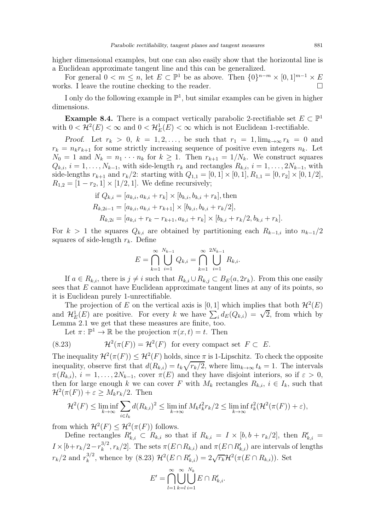higher dimensional examples, but one can also easily show that the horizontal line is a Euclidean approximate tangent line and this can be generalized.

For general  $0 < m \le n$ , let  $E \subset \mathbb{P}^1$  be as above. Then  $\{0\}^{n-m} \times [0,1]^{m-1} \times E$ works. I leave the routine checking to the reader.

I only do the following example in  $\mathbb{P}^1$ , but similar examples can be given in higher dimensions.

<span id="page-26-0"></span>**Example 8.4.** There is a compact vertically parabolic 2-rectifiable set  $E \subset \mathbb{P}^1$ with  $0 < H^2(E) < \infty$  and  $0 < H^1_E(E) < \infty$  which is not Euclidean 1-rectifiable.

Proof. Let  $r_k > 0$ ,  $k = 1, 2, \ldots$ , be such that  $r_1 = 1$ ,  $\lim_{k \to \infty} r_k = 0$  and  $r_k = n_k r_{k+1}$  for some strictly increasing sequence of positive even integers  $n_k$ . Let  $N_0 = 1$  and  $N_k = n_1 \cdots n_k$  for  $k \ge 1$ . Then  $r_{k+1} = 1/N_k$ . We construct squares  $Q_{k,i}, i = 1, \ldots, N_{k-1}$ , with side-length  $r_k$  and rectangles  $R_{k,i}, i = 1, \ldots, 2N_{k-1}$ , with side-lengths  $r_{k+1}$  and  $r_k/2$ : starting with  $Q_{1,1} = [0,1] \times [0,1], R_{1,1} = [0,r_2] \times [0,1/2],$  $R_{1,2} = [1 - r_2, 1] \times [1/2, 1]$ . We define recursively;

if 
$$
Q_{k,i} = [a_{k,i}, a_{k,i} + r_k] \times [b_{k,i}, b_{k,i} + r_k]
$$
, then  
\n
$$
R_{k,2i-1} = [a_{k,i}, a_{k,i} + r_{k+1}] \times [b_{k,i}, b_{k,i} + r_k/2],
$$
\n
$$
R_{k,2i} = [a_{k,i} + r_k - r_{k+1}, a_{k,i} + r_k] \times [b_{k,i} + r_k/2, b_{k,i} + r_k].
$$

For  $k > 1$  the squares  $Q_{k,i}$  are obtained by partitioning each  $R_{k-1,i}$  into  $n_{k-1}/2$ squares of side-length  $r_k$ . Define

$$
E = \bigcap_{k=1}^{\infty} \bigcup_{i=1}^{N_{k-1}} Q_{k,i} = \bigcap_{k=1}^{\infty} \bigcup_{i=1}^{2N_{k-1}} R_{k,i}.
$$

If  $a \in R_{k,i}$ , there is  $j \neq i$  such that  $R_{k,i} \cup R_{k,j} \subset B_E(a, 2r_k)$ . From this one easily sees that  $E$  cannot have Euclidean approximate tangent lines at any of its points, so it is Euclidean purely 1-unrectifiable.

The projection of E on the vertical axis is  $[0, 1]$  which implies that both  $\mathcal{H}^2(E)$ and  $\mathcal{H}_E^1(E)$  are positive. For every k we have  $\sum_i d_E(Q_{k,i}) = \sqrt{2}$ , from which by Lemma [2.1](#page-2-1) we get that these measures are finite, too.

<span id="page-26-1"></span>Let  $\pi \colon \mathbb{P}^1 \to \mathbb{R}$  be the projection  $\pi(x, t) = t$ . Then

(8.23) 
$$
\mathcal{H}^2(\pi(F)) = \mathcal{H}^2(F) \text{ for every compact set } F \subset E.
$$

The inequality  $\mathcal{H}^2(\pi(F)) \leq \mathcal{H}^2(F)$  holds, since  $\pi$  is 1-Lipschitz. To check the opposite inequality, observe first that  $d(R_{k,i}) = t_k \sqrt{r_k/2}$ , where  $\lim_{k \to \infty} t_k = 1$ . The intervals  $\pi(R_{k,i}), i = 1, \ldots, 2N_{k-1}$ , cover  $\pi(E)$  and they have disjoint interiors, so if  $\varepsilon > 0$ , then for large enough k we can cover F with  $M_k$  rectangles  $R_{k,i}$ ,  $i \in I_k$ , such that  $\mathcal{H}^2(\pi(F)) + \varepsilon \ge M_k r_k/2$ . Then

$$
\mathcal{H}^{2}(F) \leq \liminf_{k \to \infty} \sum_{i \in I_{k}} d(R_{k,i})^{2} \leq \liminf_{k \to \infty} M_{k} t_{k}^{2} r_{k} / 2 \leq \liminf_{k \to \infty} t_{k}^{2} (\mathcal{H}^{2}(\pi(F)) + \varepsilon),
$$

from which  $\mathcal{H}^2(F) \leq \mathcal{H}^2(\pi(F))$  follows.

Define rectangles  $R'_{k,i} \subset R_{k,i}$  so that if  $R_{k,i} = I \times [b, b + r_k/2]$ , then  $R'_{k,i} =$  $I \times [b + r_k/2 - r_k^{3/2}]$ <sup>3/2</sup>,  $r_k/2$ . The sets  $\pi(E \cap R_{k,i})$  and  $\pi(E \cap R'_{k,i})$  are intervals of lengths  $r_k/2$  and  $r_k^{3/2}$ <sup>3/2</sup>, whence by [\(8.23\)](#page-26-1)  $\mathcal{H}^2(E \cap R'_{k,i}) = 2\sqrt{r_k}\mathcal{H}^2(\pi(E \cap R_{k,i}))$ . Set

$$
E' = \bigcap_{l=1}^{\infty} \bigcup_{k=l}^{\infty} \bigcup_{i=1}^{N_k} E \cap R'_{k,i}.
$$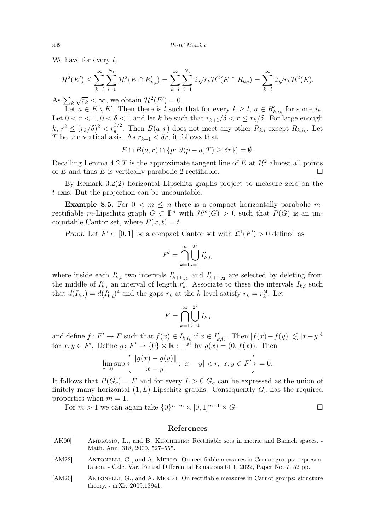We have for every  $l$ ,

$$
\mathcal{H}^{2}(E') \leq \sum_{k=l}^{\infty} \sum_{i=1}^{N_{k}} \mathcal{H}^{2}(E \cap R'_{k,i}) = \sum_{k=l}^{\infty} \sum_{i=1}^{N_{k}} 2\sqrt{r_{k}} \mathcal{H}^{2}(E \cap R_{k,i}) = \sum_{k=l}^{\infty} 2\sqrt{r_{k}} \mathcal{H}^{2}(E).
$$

As  $\sum_{k} \sqrt{r_k} < \infty$ , we obtain  $\mathcal{H}^2(E') = 0$ .

Let  $a \in E \setminus E'$ . Then there is l such that for every  $k \geq l$ ,  $a \in R'_{k,i_k}$  for some  $i_k$ . Let  $0 < r < 1$ ,  $0 < \delta < 1$  and let k be such that  $r_{k+1}/\delta < r \leq r_k/\delta$ . For large enough  $k, r^2 \le (r_k/\delta)^2 < r_k^{3/2}$ . Then  $B(a, r)$  does not meet any other  $R_{k,i}$  except  $R_{k,i_k}$ . Let T be the vertical axis. As  $r_{k+1} < \delta r$ , it follows that

$$
E \cap B(a,r) \cap \{p \colon d(p-a,T) \ge \delta r\}) = \emptyset.
$$

Recalling Lemma [4.2](#page-8-5) T is the approximate tangent line of E at  $\mathcal{H}^2$  almost all points of E and thus E is vertically parabolic 2-rectifiable of  $E$  and thus  $E$  is vertically parabolic 2-rectifiable.

By Remark [3.2\(](#page-4-3)2) horizontal Lipschitz graphs project to measure zero on the t-axis. But the projection can be uncountable:

<span id="page-27-2"></span>**Example 8.5.** For  $0 < m \leq n$  there is a compact horizontally parabolic mrectifiable m-Lipschitz graph  $G \subset \mathbb{P}^n$  with  $\mathcal{H}^m(G) > 0$  such that  $P(G)$  is an uncountable Cantor set, where  $P(x, t) = t$ .

Proof. Let  $F' \subset [0,1]$  be a compact Cantor set with  $\mathcal{L}^1(F') > 0$  defined as

$$
F' = \bigcap_{k=1}^{\infty} \bigcup_{i=1}^{2^k} I'_{k,i},
$$

where inside each  $I'_{k,i}$  two intervals  $I'_{k+1,j_1}$  and  $I'_{k+1,j_2}$  are selected by deleting from the middle of  $I'_{k,i}$  an interval of length  $r'_{k}$ . Associate to these the intervals  $I_{k,i}$  such that  $d(I_{k,i}) = d(I'_{k,i})^4$  and the gaps  $r_k$  at the k level satisfy  $r_k = r_k'^4$ . Let

$$
F = \bigcap_{k=1}^{\infty} \bigcup_{i=1}^{2^k} I_{k,i}
$$

and define  $f: F' \to F$  such that  $f(x) \in I_{k,i_k}$  if  $x \in I'_{k,i_k}$ . Then  $|f(x) - f(y)| \lesssim |x - y|^4$ for  $x, y \in F'$ . Define  $g: F' \to \{0\} \times \mathbb{R} \subset \mathbb{P}^1$  by  $g(x) = (0, f(x))$ . Then

$$
\lim_{r \to 0} \sup \left\{ \frac{\|g(x) - g(y)\|}{|x - y|} : |x - y| < r, \ x, y \in F' \right\} = 0.
$$

It follows that  $P(G_q) = F$  and for every  $L > 0$   $G_q$  can be expressed as the union of finitely many horizontal  $(1, L)$ -Lipschitz graphs. Consequently  $G_g$  has the required properties when  $m = 1$ .

For  $m > 1$  we can again take  $\{0\}^{n-m} \times [0,1]^{m-1} \times G$ .

# References

- <span id="page-27-0"></span>[AK00] AMBROSIO, L., and B. KIRCHHEIM: Rectifiable sets in metric and Banach spaces. -Math. Ann. 318, 2000, 527–555.
- <span id="page-27-1"></span>[AM22] ANTONELLI, G., and A. MERLO: On rectifiable measures in Carnot groups: representation. - Calc. Var. Partial Differential Equations 61:1, 2022, Paper No. 7, 52 pp.
- <span id="page-27-3"></span>[AM20] ANTONELLI, G., and A. MERLO: On rectifiable measures in Carnot groups: structure theory. - arXiv:2009.13941.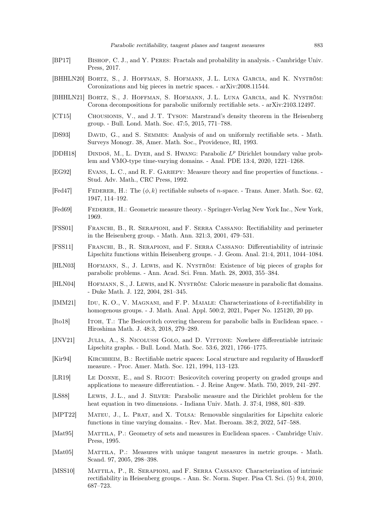- <span id="page-28-21"></span>[BP17] Bishop, C. J., and Y. Peres: Fractals and probability in analysis. - Cambridge Univ. Press, 2017.
- <span id="page-28-7"></span>[BHHLN20] BORTZ, S., J. HOFFMAN, S. HOFMANN, J.L. LUNA GARCIA, and K. NYSTRÖM: Coronizations and big pieces in metric spaces. - arXiv:2008.11544.
- <span id="page-28-8"></span>[BHHLN21] Bortz, S., J. Hoffman, S. Hofmann, J. L. Luna Garcia, and K. Nyström: Corona decompositions for parabolic uniformly rectifiable sets. - arXiv:2103.12497.
- <span id="page-28-20"></span>[CT15] Chousionis, V., and J. T. Tyson: Marstrand's density theorem in the Heisenberg group. - Bull. Lond. Math. Soc. 47:5, 2015, 771–788.
- <span id="page-28-17"></span>[DS93] DAVID, G., and S. SEMMES: Analysis of and on uniformly rectifiable sets. - Math. Surveys Monogr. 38, Amer. Math. Soc., Providence, RI, 1993.
- <span id="page-28-22"></span>[DDH18] DINDOŠ, M., L. DYER, and S. HWANG: Parabolic  $L^p$  Dirichlet boundary value problem and VMO-type time-varying domains. - Anal. PDE 13:4, 2020, 1221–1268.
- <span id="page-28-12"></span>[EG92] Evans, L. C., and R. F. Gariepy: Measure theory and fine properties of functions. - Stud. Adv. Math., CRC Press, 1992.
- <span id="page-28-0"></span>[Fed47] FEDERER, H.: The  $(\phi, k)$  rectifiable subsets of *n*-space. - Trans. Amer. Math. Soc. 62, 1947, 114–192.
- <span id="page-28-11"></span>[Fed69] Federer, H.: Geometric measure theory. - Springer-Verlag New York Inc., New York, 1969.
- <span id="page-28-2"></span>[FSS01] Franchi, B., R. Serapioni, and F. Serra Cassano: Rectifiability and perimeter in the Heisenberg group. - Math. Ann. 321:3, 2001, 479–531.
- <span id="page-28-19"></span>[FSS11] Franchi, B., R. Serapioni, and F. Serra Cassano: Differentiability of intrinsic Lipschitz functions within Heisenberg groups. - J. Geom. Anal. 21:4, 2011, 1044–1084.
- <span id="page-28-5"></span>[HLN03] Hofmann, S., J. Lewis, and K. Nyström: Existence of big pieces of graphs for parabolic problems. - Ann. Acad. Sci. Fenn. Math. 28, 2003, 355–384.
- <span id="page-28-6"></span>[HLN04] HOFMANN, S., J. LEWIS, and K. NYSTRÖM: Caloric measure in parabolic flat domains. - Duke Math. J. 122, 2004, 281–345.
- <span id="page-28-4"></span>[IMM21] IDU, K. O., V. MAGNANI, and F. P. MAIALE: Characterizations of k-rectifiability in homogenous groups. - J. Math. Anal. Appl. 500:2, 2021, Paper No. 125120, 20 pp.
- <span id="page-28-15"></span>[Ito18] Itoh, T.: The Besicovitch covering theorem for parabolic balls in Euclidean space. - Hiroshima Math. J. 48:3, 2018, 279–289.
- <span id="page-28-10"></span>[JNV21] JULIA, A., S. NICOLUSSI GOLO, and D. VITTONE: Nowhere differentiable intrinsic Lipschitz graphs. - Bull. Lond. Math. Soc. 53:6, 2021, 1766–1775.
- <span id="page-28-16"></span>[Kir94] Kirchheim, B.: Rectifiable metric spaces: Local structure and regularity of Hausdorff measure. - Proc. Amer. Math. Soc. 121, 1994, 113–123.
- <span id="page-28-14"></span>[LR19] Le Donne, E., and S. Rigot: Besicovitch covering property on graded groups and applications to measure differentiation. - J. Reine Angew. Math. 750, 2019, 241–297.
- <span id="page-28-9"></span>[LS88] Lewis, J. L., and J. Silver: Parabolic measure and the Dirichlet problem for the heat equation in two dimensions. - Indiana Univ. Math. J. 37:4, 1988, 801–839.
- <span id="page-28-18"></span>[MPT22] Mateu, J., L. Prat, and X. Tolsa: Removable singularities for Lipschitz caloric functions in time varying domains. - Rev. Mat. Iberoam. 38:2, 2022, 547–588.
- <span id="page-28-13"></span>[Mat95] MATTILA, P.: Geometry of sets and measures in Euclidean spaces. - Cambridge Univ. Press, 1995.
- <span id="page-28-1"></span>[Mat05] Mattila, P.: Measures with unique tangent measures in metric groups. - Math. Scand. 97, 2005, 298–398.
- <span id="page-28-3"></span>[MSS10] MATTILA, P., R. SERAPIONI, and F. SERRA CASSANO: Characterization of intrinsic rectifiability in Heisenberg groups. - Ann. Sc. Norm. Super. Pisa Cl. Sci. (5) 9:4, 2010, 687–723.